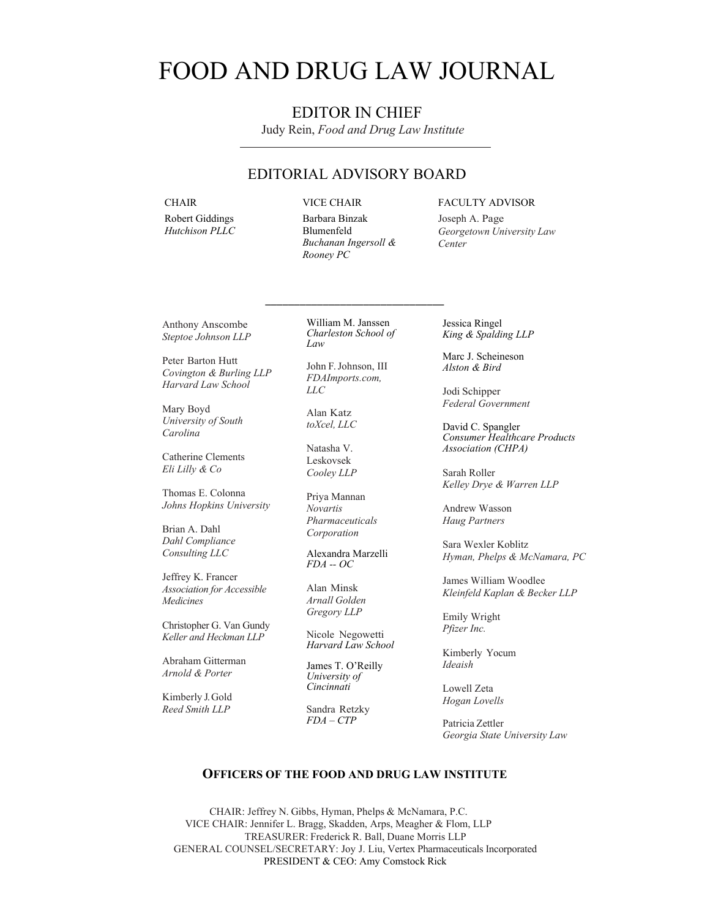# FOOD AND DRUG LAW JOURNAL

# EDITOR IN CHIEF

Judy Rein, *Food and Drug Law Institute*

# EDITORIAL ADVISORY BOARD

**CHAIR** 

Robert Giddings *Hutchison PLLC*  VICE CHAIR

Barbara Binzak Blumenfeld *Buchanan Ingersoll & Rooney PC* 

#### FACULTY ADVISOR

Joseph A. Page *Georgetown University Law Center*

Anthony Anscombe *Steptoe Johnson LLP*

Peter Barton Hutt *Covington & Burling LLP Harvard Law School*

Mary Boyd *University of South Carolina* 

Catherine Clements *Eli Lilly & Co* 

Thomas E. Colonna *Johns Hopkins University* 

Brian A. Dahl *Dahl Compliance Consulting LLC* 

Jeffrey K. Francer *Association for Accessible Medicines* 

Christopher G. Van Gundy *Keller and Heckman LLP* 

Abraham Gitterman *Arnold & Porter* 

Kimberly J. Gold *Reed Smith LLP*

William M. Janssen *Charleston School of Law* 

\_\_\_\_\_\_\_\_\_\_\_\_\_\_\_\_\_\_\_\_\_\_\_\_\_\_\_\_\_\_\_

John F. Johnson, III *FDAImports.com, LLC*

Alan Katz *toXcel, LLC* 

Natasha V. Leskovsek *Cooley LLP* 

Priya Mannan *Novartis Pharmaceuticals Corporation* 

Alexandra Marzelli *FDA -- OC* 

Alan Minsk *Arnall Golden Gregory LLP*

Nicole Negowetti *Harvard Law School* 

James T. O'Reilly *University of Cincinnati* 

 Sandra Retzky  *FDA – CTP* 

Jessica Ringel *King & Spalding LLP* 

Marc J. Scheineson *Alston & Bird* 

Jodi Schipper *Federal Government*

David C. Spangler *Consumer Healthcare Products Association (CHPA)* 

Sarah Roller *Kelley Drye & Warren LLP* 

Andrew Wasson *Haug Partners* 

Sara Wexler Koblitz *Hyman, Phelps & McNamara, PC* 

James William Woodlee *Kleinfeld Kaplan & Becker LLP* 

Emily Wright *Pfizer Inc.*

Kimberly Yocum *Ideaish* 

Lowell Zeta *Hogan Lovells*

Patricia Zettler *Georgia State University Law* 

#### **OFFICERS OF THE FOOD AND DRUG LAW INSTITUTE**

CHAIR: Jeffrey N. Gibbs, Hyman, Phelps & McNamara, P.C. VICE CHAIR: Jennifer L. Bragg, Skadden, Arps, Meagher & Flom, LLP TREASURER: Frederick R. Ball, Duane Morris LLP GENERAL COUNSEL/SECRETARY: Joy J. Liu, Vertex Pharmaceuticals Incorporated PRESIDENT & CEO: Amy Comstock Rick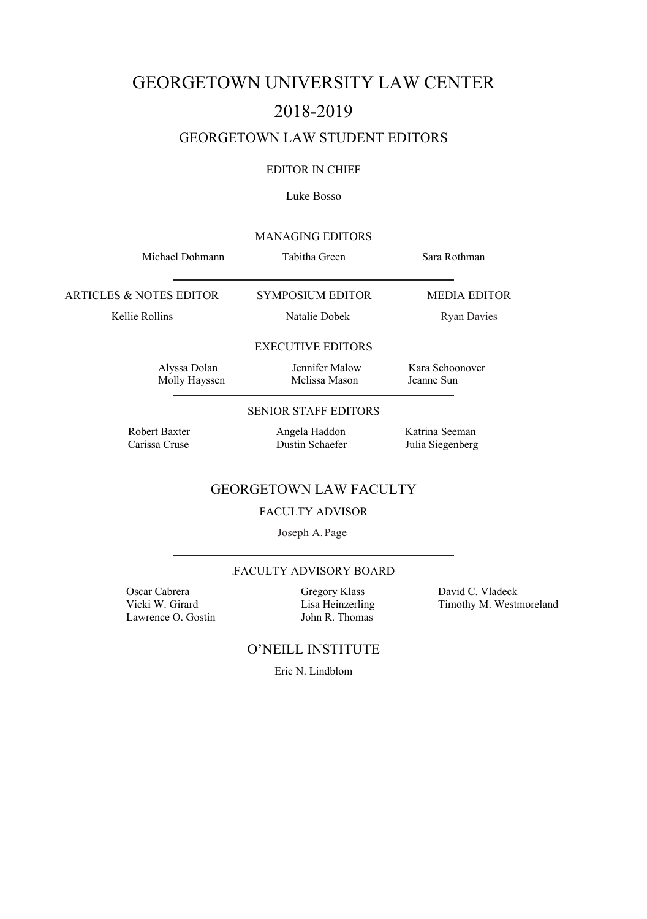# GEORGETOWN UNIVERSITY LAW CENTER 2018-2019

# GEORGETOWN LAW STUDENT EDITORS

## EDITOR IN CHIEF

#### Luke Bosso

| <b>MANAGING EDITORS</b><br>Tabitha Green | Sara Rothman                       |
|------------------------------------------|------------------------------------|
| <b>SYMPOSIUM EDITOR</b>                  | <b>MEDIA EDITOR</b>                |
| Natalie Dobek                            | <b>Ryan Davies</b>                 |
| <b>EXECUTIVE EDITORS</b>                 |                                    |
| Jennifer Malow<br>Melissa Mason          | Kara Schoonover<br>Jeanne Sun      |
| <b>SENIOR STAFF EDITORS</b>              |                                    |
| Angela Haddon<br>Dustin Schaefer         | Katrina Seeman<br>Julia Siegenberg |
| <b>GEORGETOWN LAW FACULTY</b>            |                                    |
| <b>FACULTY ADVISOR</b>                   |                                    |
| Joseph A. Page                           |                                    |
|                                          |                                    |

# FACULTY ADVISORY BOARD

 Oscar Cabrera Gregory Klass David C. Vladeck Lawrence O. Gostin

Lisa Heinzerling Timothy M. Westmoreland John R. Thomas

# O'NEILL INSTITUTE

Eric N. Lindblom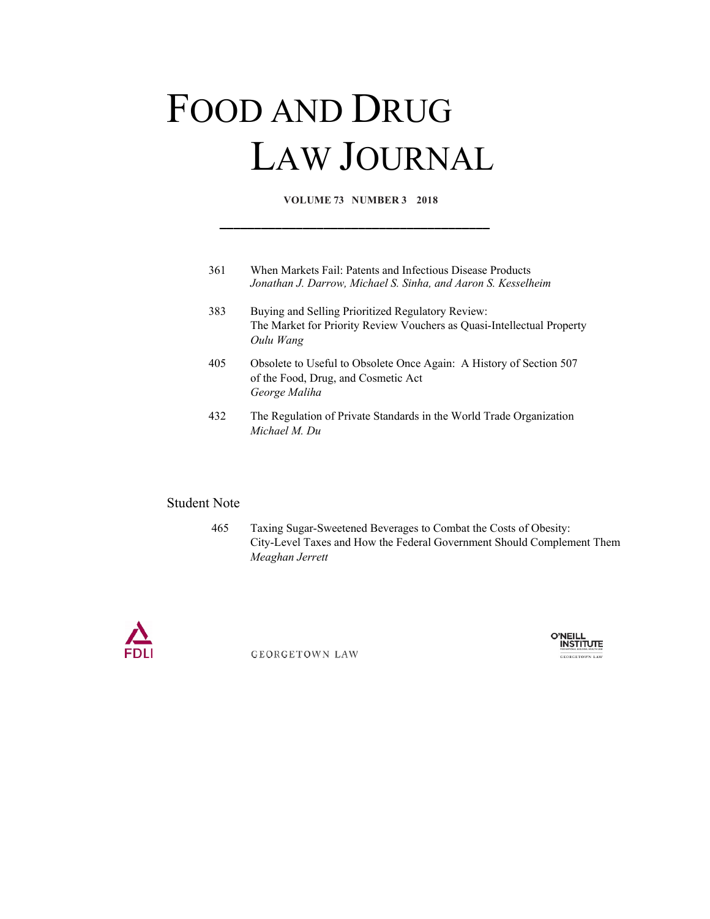# FOOD AND DRUG LAW JOURNAL

**VOLUME 73 NUMBER 3 2018**

**\_\_\_\_\_\_\_\_\_\_\_\_\_\_\_\_\_\_\_\_\_\_\_\_\_\_\_\_\_\_\_\_\_\_\_\_\_\_\_** 

| 361 | When Markets Fail: Patents and Infectious Disease Products<br>Jonathan J. Darrow, Michael S. Sinha, and Aaron S. Kesselheim              |
|-----|------------------------------------------------------------------------------------------------------------------------------------------|
| 383 | Buying and Selling Prioritized Regulatory Review:<br>The Market for Priority Review Vouchers as Quasi-Intellectual Property<br>Oulu Wang |
| 405 | Obsolete to Useful to Obsolete Once Again: A History of Section 507<br>of the Food, Drug, and Cosmetic Act<br>George Maliha              |
| 432 | The Regulation of Private Standards in the World Trade Organization<br>Michael M. Du                                                     |

# Student Note

 465 Taxing Sugar-Sweetened Beverages to Combat the Costs of Obesity: City-Level Taxes and How the Federal Government Should Complement Them *Meaghan Jerrett*



**GEORGETOWN LAW** 

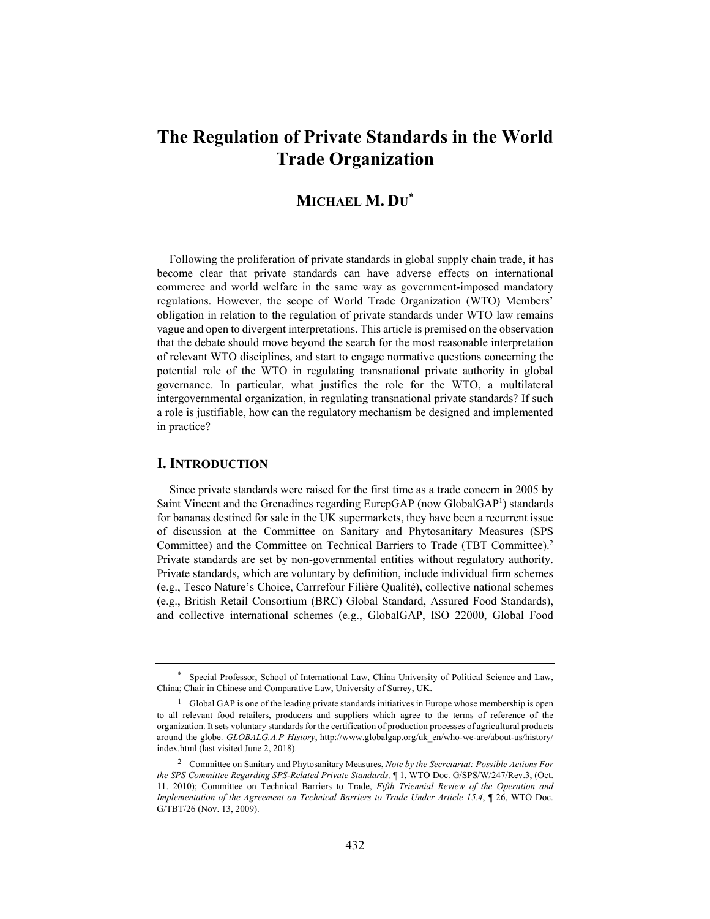# **The Regulation of Private Standards in the World Trade Organization**

# **MICHAEL M. DU\***

Following the proliferation of private standards in global supply chain trade, it has become clear that private standards can have adverse effects on international commerce and world welfare in the same way as government-imposed mandatory regulations. However, the scope of World Trade Organization (WTO) Members' obligation in relation to the regulation of private standards under WTO law remains vague and open to divergent interpretations. This article is premised on the observation that the debate should move beyond the search for the most reasonable interpretation of relevant WTO disciplines, and start to engage normative questions concerning the potential role of the WTO in regulating transnational private authority in global governance. In particular, what justifies the role for the WTO, a multilateral intergovernmental organization, in regulating transnational private standards? If such a role is justifiable, how can the regulatory mechanism be designed and implemented in practice?

#### **I. INTRODUCTION**

Since private standards were raised for the first time as a trade concern in 2005 by Saint Vincent and the Grenadines regarding EurepGAP (now GlobalGAP<sup>1</sup>) standards for bananas destined for sale in the UK supermarkets, they have been a recurrent issue of discussion at the Committee on Sanitary and Phytosanitary Measures (SPS Committee) and the Committee on Technical Barriers to Trade (TBT Committee).2 Private standards are set by non-governmental entities without regulatory authority. Private standards, which are voluntary by definition, include individual firm schemes (e.g., Tesco Nature's Choice, Carrrefour Filière Qualité), collective national schemes (e.g., British Retail Consortium (BRC) Global Standard, Assured Food Standards), and collective international schemes (e.g., GlobalGAP, ISO 22000, Global Food

<sup>\*</sup> Special Professor, School of International Law, China University of Political Science and Law, China; Chair in Chinese and Comparative Law, University of Surrey, UK.

 $1$  Global GAP is one of the leading private standards initiatives in Europe whose membership is open to all relevant food retailers, producers and suppliers which agree to the terms of reference of the organization. It sets voluntary standards for the certification of production processes of agricultural products around the globe. *GLOBALG.A.P History*, http://www.globalgap.org/uk\_en/who-we-are/about-us/history/ index.html (last visited June 2, 2018).

<sup>2</sup> Committee on Sanitary and Phytosanitary Measures, *Note by the Secretariat: Possible Actions For the SPS Committee Regarding SPS-Related Private Standards,* ¶ 1, WTO Doc. G/SPS/W/247/Rev.3, (Oct. 11. 2010); Committee on Technical Barriers to Trade, *Fifth Triennial Review of the Operation and Implementation of the Agreement on Technical Barriers to Trade Under Article 15.4*, ¶ 26, WTO Doc. G/TBT/26 (Nov. 13, 2009).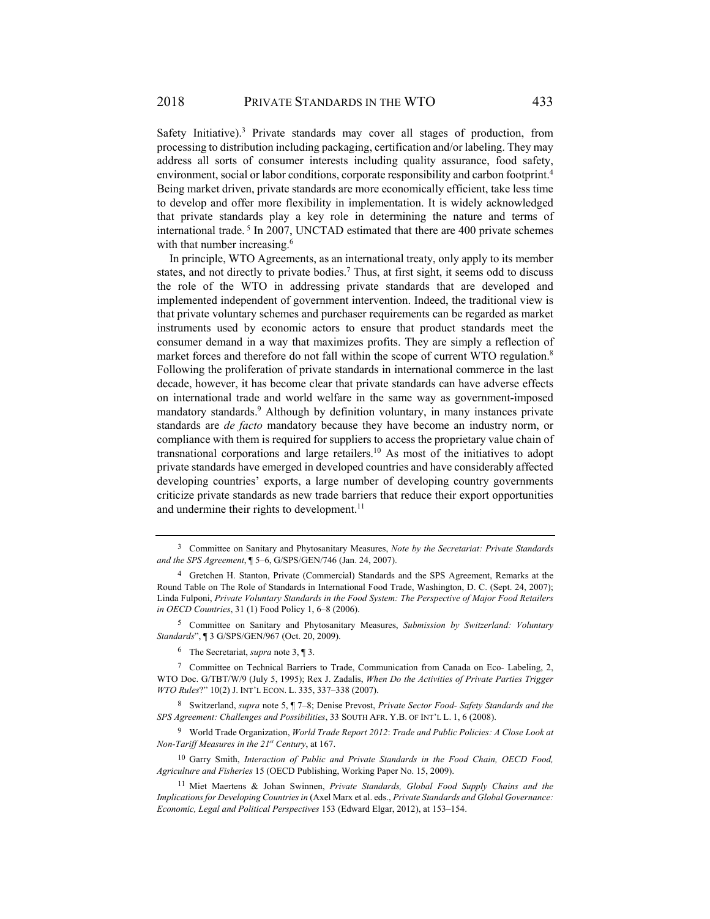Safety Initiative).<sup>3</sup> Private standards may cover all stages of production, from processing to distribution including packaging, certification and/or labeling. They may address all sorts of consumer interests including quality assurance, food safety, environment, social or labor conditions, corporate responsibility and carbon footprint.<sup>4</sup> Being market driven, private standards are more economically efficient, take less time to develop and offer more flexibility in implementation. It is widely acknowledged that private standards play a key role in determining the nature and terms of international trade. 5 In 2007, UNCTAD estimated that there are 400 private schemes with that number increasing.<sup>6</sup>

In principle, WTO Agreements, as an international treaty, only apply to its member states, and not directly to private bodies.<sup>7</sup> Thus, at first sight, it seems odd to discuss the role of the WTO in addressing private standards that are developed and implemented independent of government intervention. Indeed, the traditional view is that private voluntary schemes and purchaser requirements can be regarded as market instruments used by economic actors to ensure that product standards meet the consumer demand in a way that maximizes profits. They are simply a reflection of market forces and therefore do not fall within the scope of current WTO regulation.<sup>8</sup> Following the proliferation of private standards in international commerce in the last decade, however, it has become clear that private standards can have adverse effects on international trade and world welfare in the same way as government-imposed mandatory standards.<sup>9</sup> Although by definition voluntary, in many instances private standards are *de facto* mandatory because they have become an industry norm, or compliance with them is required for suppliers to access the proprietary value chain of transnational corporations and large retailers.10 As most of the initiatives to adopt private standards have emerged in developed countries and have considerably affected developing countries' exports, a large number of developing country governments criticize private standards as new trade barriers that reduce their export opportunities and undermine their rights to development. $^{11}$ 

5 Committee on Sanitary and Phytosanitary Measures, *Submission by Switzerland: Voluntary Standards*", ¶ 3 G/SPS/GEN/967 (Oct. 20, 2009).

6 The Secretariat, *supra* note 3, ¶ 3.

7 Committee on Technical Barriers to Trade, Communication from Canada on Eco- Labeling, 2, WTO Doc. G/TBT/W/9 (July 5, 1995); Rex J. Zadalis, *When Do the Activities of Private Parties Trigger WTO Rules*?" 10(2) J. INT'L ECON. L. 335, 337–338 (2007).

8 Switzerland, *supra* note 5, ¶ 7–8; Denise Prevost, *Private Sector Food- Safety Standards and the SPS Agreement: Challenges and Possibilities*, 33 SOUTH AFR. Y.B. OF INT'L L. 1, 6 (2008).

9 World Trade Organization, *World Trade Report 2012*: *Trade and Public Policies: A Close Look at Non-Tariff Measures in the 21st Century*, at 167.

10 Garry Smith, *Interaction of Public and Private Standards in the Food Chain, OECD Food, Agriculture and Fisheries* 15 (OECD Publishing, Working Paper No. 15, 2009).

11 Miet Maertens & Johan Swinnen, *Private Standards, Global Food Supply Chains and the Implications for Developing Countriesin* (Axel Marx et al. eds., *Private Standards and Global Governance: Economic, Legal and Political Perspectives* 153 (Edward Elgar, 2012), at 153–154.

<sup>3</sup> Committee on Sanitary and Phytosanitary Measures, *Note by the Secretariat: Private Standards and the SPS Agreement*, ¶ 5–6, G/SPS/GEN/746 (Jan. 24, 2007).

<sup>4</sup> Gretchen H. Stanton, Private (Commercial) Standards and the SPS Agreement, Remarks at the Round Table on The Role of Standards in International Food Trade, Washington, D. C. (Sept. 24, 2007); Linda Fulponi, *Private Voluntary Standards in the Food System: The Perspective of Major Food Retailers in OECD Countries*, 31 (1) Food Policy 1, 6–8 (2006).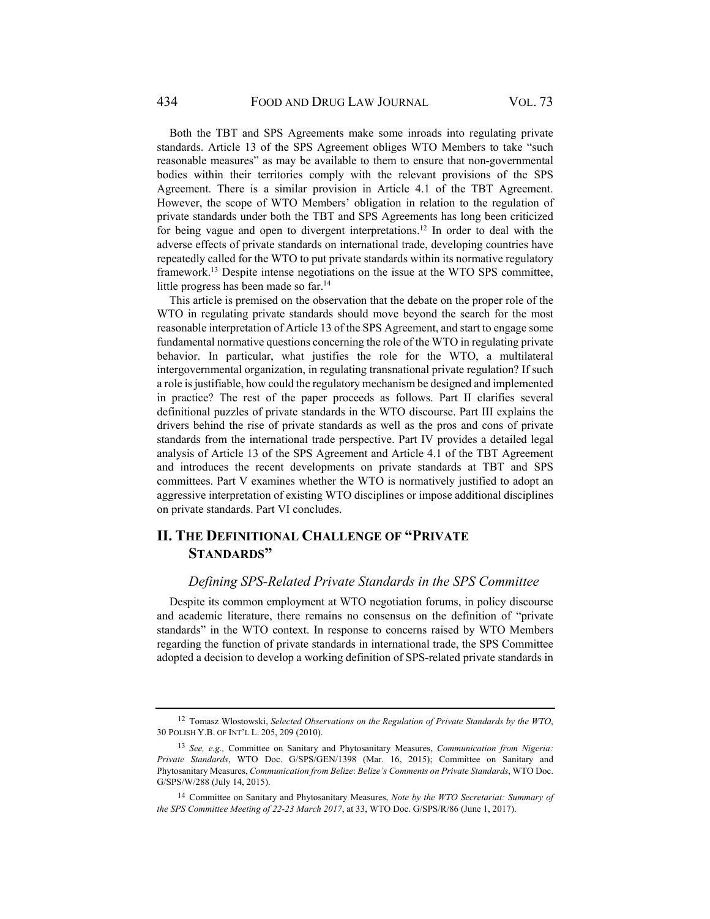Both the TBT and SPS Agreements make some inroads into regulating private standards. Article 13 of the SPS Agreement obliges WTO Members to take "such reasonable measures" as may be available to them to ensure that non-governmental bodies within their territories comply with the relevant provisions of the SPS Agreement. There is a similar provision in Article 4.1 of the TBT Agreement. However, the scope of WTO Members' obligation in relation to the regulation of private standards under both the TBT and SPS Agreements has long been criticized for being vague and open to divergent interpretations.<sup>12</sup> In order to deal with the adverse effects of private standards on international trade, developing countries have repeatedly called for the WTO to put private standards within its normative regulatory framework.<sup>13</sup> Despite intense negotiations on the issue at the WTO SPS committee, little progress has been made so far.<sup>14</sup>

This article is premised on the observation that the debate on the proper role of the WTO in regulating private standards should move beyond the search for the most reasonable interpretation of Article 13 of the SPS Agreement, and start to engage some fundamental normative questions concerning the role of the WTO in regulating private behavior. In particular, what justifies the role for the WTO, a multilateral intergovernmental organization, in regulating transnational private regulation? If such a role is justifiable, how could the regulatory mechanism be designed and implemented in practice? The rest of the paper proceeds as follows. Part II clarifies several definitional puzzles of private standards in the WTO discourse. Part III explains the drivers behind the rise of private standards as well as the pros and cons of private standards from the international trade perspective. Part IV provides a detailed legal analysis of Article 13 of the SPS Agreement and Article 4.1 of the TBT Agreement and introduces the recent developments on private standards at TBT and SPS committees. Part V examines whether the WTO is normatively justified to adopt an aggressive interpretation of existing WTO disciplines or impose additional disciplines on private standards. Part VI concludes.

# **II. THE DEFINITIONAL CHALLENGE OF "PRIVATE STANDARDS"**

# *Defining SPS-Related Private Standards in the SPS Committee*

Despite its common employment at WTO negotiation forums, in policy discourse and academic literature, there remains no consensus on the definition of "private standards" in the WTO context. In response to concerns raised by WTO Members regarding the function of private standards in international trade, the SPS Committee adopted a decision to develop a working definition of SPS-related private standards in

<sup>12</sup> Tomasz Wlostowski, *Selected Observations on the Regulation of Private Standards by the WTO*, 30 POLISH Y.B. OF INT'L L. 205, 209 (2010).

<sup>13</sup> *See, e.g.,* Committee on Sanitary and Phytosanitary Measures, *Communication from Nigeria: Private Standards*, WTO Doc. G/SPS/GEN/1398 (Mar. 16, 2015); Committee on Sanitary and Phytosanitary Measures, *Communication from Belize*: *Belize's Comments on Private Standards*, WTO Doc. G/SPS/W/288 (July 14, 2015).

<sup>14</sup> Committee on Sanitary and Phytosanitary Measures, *Note by the WTO Secretariat: Summary of the SPS Committee Meeting of 22-23 March 2017*, at 33, WTO Doc. G/SPS/R/86 (June 1, 2017).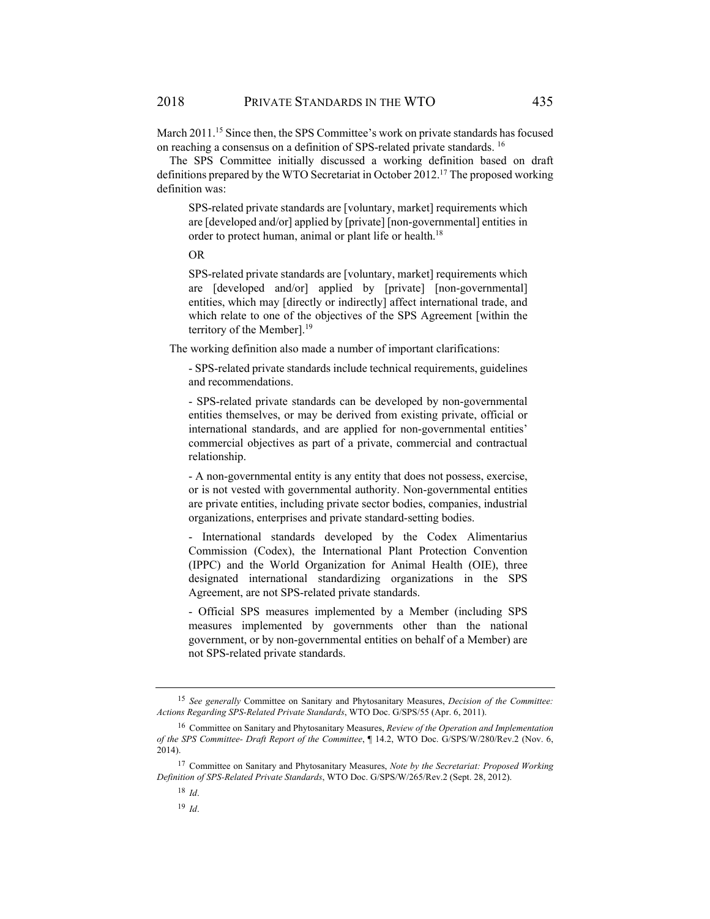March 2011.15 Since then, the SPS Committee's work on private standards has focused on reaching a consensus on a definition of SPS-related private standards. 16

The SPS Committee initially discussed a working definition based on draft definitions prepared by the WTO Secretariat in October 2012.17 The proposed working definition was:

SPS-related private standards are [voluntary, market] requirements which are [developed and/or] applied by [private] [non-governmental] entities in order to protect human, animal or plant life or health.<sup>18</sup>

OR

SPS-related private standards are [voluntary, market] requirements which are [developed and/or] applied by [private] [non-governmental] entities, which may [directly or indirectly] affect international trade, and which relate to one of the objectives of the SPS Agreement [within the territory of the Member].<sup>19</sup>

The working definition also made a number of important clarifications:

- SPS-related private standards include technical requirements, guidelines and recommendations.

- SPS-related private standards can be developed by non-governmental entities themselves, or may be derived from existing private, official or international standards, and are applied for non-governmental entities' commercial objectives as part of a private, commercial and contractual relationship.

- A non-governmental entity is any entity that does not possess, exercise, or is not vested with governmental authority. Non-governmental entities are private entities, including private sector bodies, companies, industrial organizations, enterprises and private standard-setting bodies.

- International standards developed by the Codex Alimentarius Commission (Codex), the International Plant Protection Convention (IPPC) and the World Organization for Animal Health (OIE), three designated international standardizing organizations in the SPS Agreement, are not SPS-related private standards.

- Official SPS measures implemented by a Member (including SPS measures implemented by governments other than the national government, or by non-governmental entities on behalf of a Member) are not SPS-related private standards.

<sup>15</sup> *See generally* Committee on Sanitary and Phytosanitary Measures, *Decision of the Committee: Actions Regarding SPS-Related Private Standards*, WTO Doc. G/SPS/55 (Apr. 6, 2011).

<sup>16</sup> Committee on Sanitary and Phytosanitary Measures, *Review of the Operation and Implementation of the SPS Committee- Draft Report of the Committee*, ¶ 14.2, WTO Doc. G/SPS/W/280/Rev.2 (Nov. 6, 2014).

<sup>17</sup> Committee on Sanitary and Phytosanitary Measures, *Note by the Secretariat: Proposed Working Definition of SPS-Related Private Standards*, WTO Doc. G/SPS/W/265/Rev.2 (Sept. 28, 2012).

<sup>18</sup> *Id*.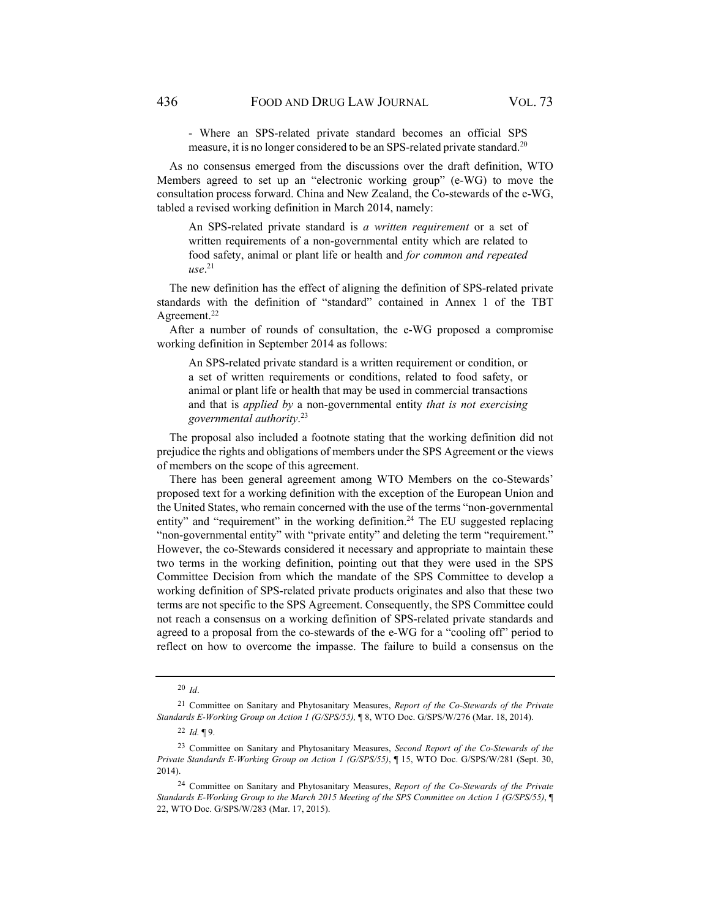- Where an SPS-related private standard becomes an official SPS measure, it is no longer considered to be an SPS-related private standard.<sup>20</sup>

As no consensus emerged from the discussions over the draft definition, WTO Members agreed to set up an "electronic working group" (e-WG) to move the consultation process forward. China and New Zealand, the Co-stewards of the e-WG, tabled a revised working definition in March 2014, namely:

An SPS-related private standard is *a written requirement* or a set of written requirements of a non-governmental entity which are related to food safety, animal or plant life or health and *for common and repeated use*. 21

The new definition has the effect of aligning the definition of SPS-related private standards with the definition of "standard" contained in Annex 1 of the TBT Agreement.<sup>22</sup>

After a number of rounds of consultation, the e-WG proposed a compromise working definition in September 2014 as follows:

An SPS-related private standard is a written requirement or condition, or a set of written requirements or conditions, related to food safety, or animal or plant life or health that may be used in commercial transactions and that is *applied by* a non-governmental entity *that is not exercising governmental authority*. 23

The proposal also included a footnote stating that the working definition did not prejudice the rights and obligations of members under the SPS Agreement or the views of members on the scope of this agreement.

There has been general agreement among WTO Members on the co-Stewards' proposed text for a working definition with the exception of the European Union and the United States, who remain concerned with the use of the terms "non-governmental entity" and "requirement" in the working definition.<sup>24</sup> The EU suggested replacing "non-governmental entity" with "private entity" and deleting the term "requirement." However, the co-Stewards considered it necessary and appropriate to maintain these two terms in the working definition, pointing out that they were used in the SPS Committee Decision from which the mandate of the SPS Committee to develop a working definition of SPS-related private products originates and also that these two terms are not specific to the SPS Agreement. Consequently, the SPS Committee could not reach a consensus on a working definition of SPS-related private standards and agreed to a proposal from the co-stewards of the e-WG for a "cooling off" period to reflect on how to overcome the impasse. The failure to build a consensus on the

<sup>20</sup> *Id*.

<sup>21</sup> Committee on Sanitary and Phytosanitary Measures, *Report of the Co-Stewards of the Private Standards E-Working Group on Action 1 (G/SPS/55),* ¶ 8, WTO Doc. G/SPS/W/276 (Mar. 18, 2014).

<sup>22</sup> *Id.* ¶ 9.

<sup>23</sup> Committee on Sanitary and Phytosanitary Measures, *Second Report of the Co-Stewards of the Private Standards E-Working Group on Action 1 (G/SPS/55)*, ¶ 15, WTO Doc. G/SPS/W/281 (Sept. 30, 2014).

<sup>24</sup> Committee on Sanitary and Phytosanitary Measures, *Report of the Co-Stewards of the Private Standards E-Working Group to the March 2015 Meeting of the SPS Committee on Action 1 (G/SPS/55)*, ¶ 22, WTO Doc. G/SPS/W/283 (Mar. 17, 2015).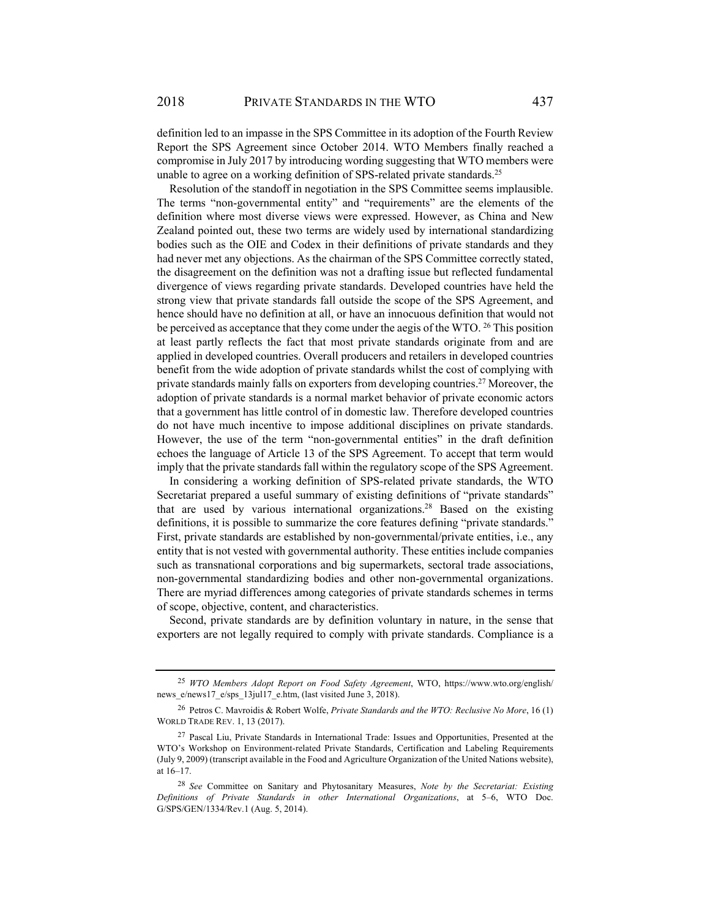definition led to an impasse in the SPS Committee in its adoption of the Fourth Review Report the SPS Agreement since October 2014. WTO Members finally reached a compromise in July 2017 by introducing wording suggesting that WTO members were unable to agree on a working definition of SPS-related private standards.<sup>25</sup>

Resolution of the standoff in negotiation in the SPS Committee seems implausible. The terms "non-governmental entity" and "requirements" are the elements of the definition where most diverse views were expressed. However, as China and New Zealand pointed out, these two terms are widely used by international standardizing bodies such as the OIE and Codex in their definitions of private standards and they had never met any objections. As the chairman of the SPS Committee correctly stated, the disagreement on the definition was not a drafting issue but reflected fundamental divergence of views regarding private standards. Developed countries have held the strong view that private standards fall outside the scope of the SPS Agreement, and hence should have no definition at all, or have an innocuous definition that would not be perceived as acceptance that they come under the aegis of the WTO. <sup>26</sup> This position at least partly reflects the fact that most private standards originate from and are applied in developed countries. Overall producers and retailers in developed countries benefit from the wide adoption of private standards whilst the cost of complying with private standards mainly falls on exporters from developing countries.<sup>27</sup> Moreover, the adoption of private standards is a normal market behavior of private economic actors that a government has little control of in domestic law. Therefore developed countries do not have much incentive to impose additional disciplines on private standards. However, the use of the term "non-governmental entities" in the draft definition echoes the language of Article 13 of the SPS Agreement. To accept that term would imply that the private standards fall within the regulatory scope of the SPS Agreement.

In considering a working definition of SPS-related private standards, the WTO Secretariat prepared a useful summary of existing definitions of "private standards" that are used by various international organizations.28 Based on the existing definitions, it is possible to summarize the core features defining "private standards." First, private standards are established by non-governmental/private entities, i.e., any entity that is not vested with governmental authority. These entities include companies such as transnational corporations and big supermarkets, sectoral trade associations, non-governmental standardizing bodies and other non-governmental organizations. There are myriad differences among categories of private standards schemes in terms of scope, objective, content, and characteristics.

Second, private standards are by definition voluntary in nature, in the sense that exporters are not legally required to comply with private standards. Compliance is a

<sup>25</sup> *WTO Members Adopt Report on Food Safety Agreement*, WTO, https://www.wto.org/english/ news\_e/news17\_e/sps\_13jul17\_e.htm, (last visited June 3, 2018).

<sup>26</sup> Petros C. Mavroidis & Robert Wolfe, *Private Standards and the WTO: Reclusive No More*, 16 (1) WORLD TRADE REV. 1, 13 (2017).

<sup>&</sup>lt;sup>27</sup> Pascal Liu, Private Standards in International Trade: Issues and Opportunities, Presented at the WTO's Workshop on Environment-related Private Standards, Certification and Labeling Requirements (July 9, 2009) (transcript available in the Food and Agriculture Organization of the United Nations website), at 16–17.

<sup>28</sup> *See* Committee on Sanitary and Phytosanitary Measures, *Note by the Secretariat: Existing Definitions of Private Standards in other International Organizations*, at 5–6, WTO Doc. G/SPS/GEN/1334/Rev.1 (Aug. 5, 2014).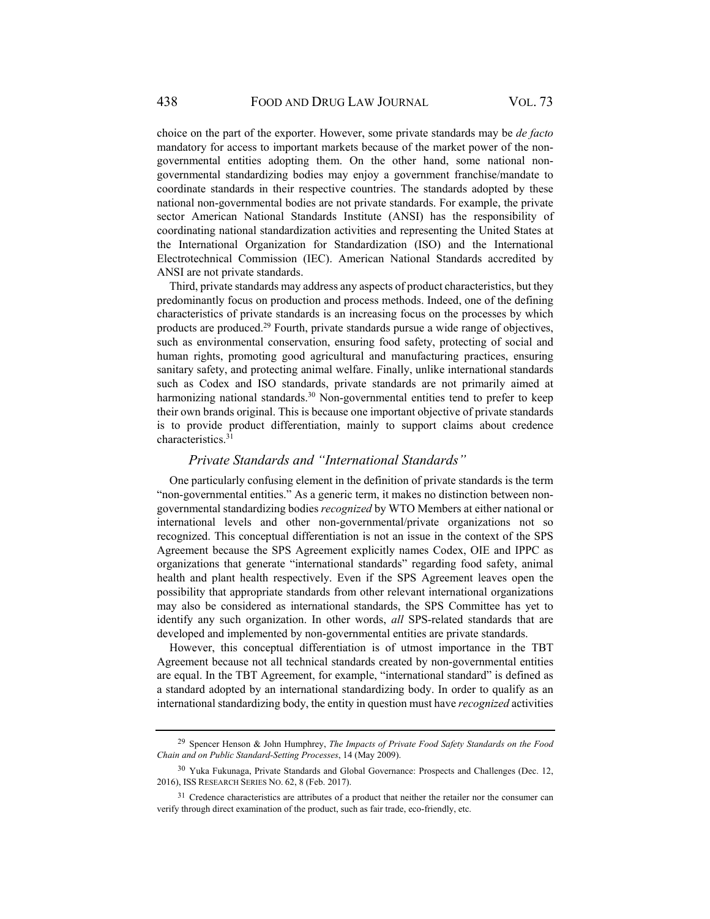choice on the part of the exporter. However, some private standards may be *de facto*  mandatory for access to important markets because of the market power of the nongovernmental entities adopting them. On the other hand, some national nongovernmental standardizing bodies may enjoy a government franchise/mandate to coordinate standards in their respective countries. The standards adopted by these national non-governmental bodies are not private standards. For example, the private sector American National Standards Institute (ANSI) has the responsibility of coordinating national standardization activities and representing the United States at the International Organization for Standardization (ISO) and the International Electrotechnical Commission (IEC). American National Standards accredited by ANSI are not private standards.

Third, private standards may address any aspects of product characteristics, but they predominantly focus on production and process methods. Indeed, one of the defining characteristics of private standards is an increasing focus on the processes by which products are produced.29 Fourth, private standards pursue a wide range of objectives, such as environmental conservation, ensuring food safety, protecting of social and human rights, promoting good agricultural and manufacturing practices, ensuring sanitary safety, and protecting animal welfare. Finally, unlike international standards such as Codex and ISO standards, private standards are not primarily aimed at harmonizing national standards.<sup>30</sup> Non-governmental entities tend to prefer to keep their own brands original. This is because one important objective of private standards is to provide product differentiation, mainly to support claims about credence characteristics.<sup>31</sup>

#### *Private Standards and "International Standards"*

One particularly confusing element in the definition of private standards is the term "non-governmental entities." As a generic term, it makes no distinction between nongovernmental standardizing bodies *recognized* by WTO Members at either national or international levels and other non-governmental/private organizations not so recognized. This conceptual differentiation is not an issue in the context of the SPS Agreement because the SPS Agreement explicitly names Codex, OIE and IPPC as organizations that generate "international standards" regarding food safety, animal health and plant health respectively. Even if the SPS Agreement leaves open the possibility that appropriate standards from other relevant international organizations may also be considered as international standards, the SPS Committee has yet to identify any such organization. In other words, *all* SPS-related standards that are developed and implemented by non-governmental entities are private standards.

However, this conceptual differentiation is of utmost importance in the TBT Agreement because not all technical standards created by non-governmental entities are equal. In the TBT Agreement, for example, "international standard" is defined as a standard adopted by an international standardizing body. In order to qualify as an international standardizing body, the entity in question must have *recognized* activities

<sup>29</sup> Spencer Henson & John Humphrey, *The Impacts of Private Food Safety Standards on the Food Chain and on Public Standard-Setting Processes*, 14 (May 2009).

<sup>30</sup> Yuka Fukunaga, Private Standards and Global Governance: Prospects and Challenges (Dec. 12, 2016), ISS RESEARCH SERIES NO. 62, 8 (Feb. 2017).

<sup>&</sup>lt;sup>31</sup> Credence characteristics are attributes of a product that neither the retailer nor the consumer can verify through direct examination of the product, such as fair trade, eco-friendly, etc.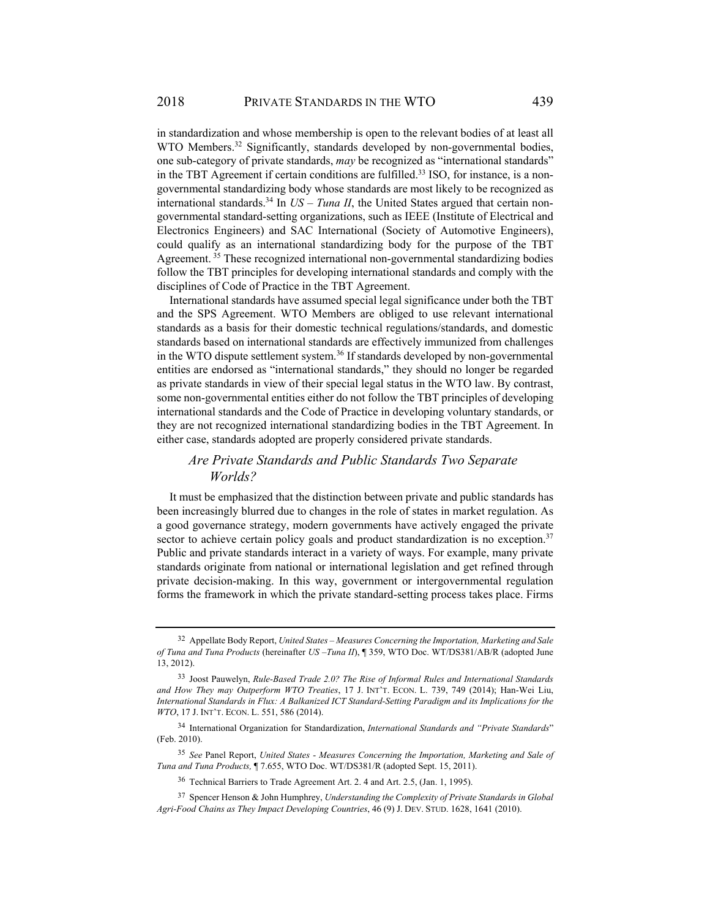in standardization and whose membership is open to the relevant bodies of at least all WTO Members.<sup>32</sup> Significantly, standards developed by non-governmental bodies, one sub-category of private standards, *may* be recognized as "international standards" in the TBT Agreement if certain conditions are fulfilled.<sup>33</sup> ISO, for instance, is a nongovernmental standardizing body whose standards are most likely to be recognized as international standards.<sup>34</sup> In  $US - Tuna$  II, the United States argued that certain nongovernmental standard-setting organizations, such as IEEE (Institute of Electrical and Electronics Engineers) and SAC International (Society of Automotive Engineers), could qualify as an international standardizing body for the purpose of the TBT Agreement. 35 These recognized international non-governmental standardizing bodies follow the TBT principles for developing international standards and comply with the disciplines of Code of Practice in the TBT Agreement.

International standards have assumed special legal significance under both the TBT and the SPS Agreement. WTO Members are obliged to use relevant international standards as a basis for their domestic technical regulations/standards, and domestic standards based on international standards are effectively immunized from challenges in the WTO dispute settlement system.<sup>36</sup> If standards developed by non-governmental entities are endorsed as "international standards," they should no longer be regarded as private standards in view of their special legal status in the WTO law. By contrast, some non-governmental entities either do not follow the TBT principles of developing international standards and the Code of Practice in developing voluntary standards, or they are not recognized international standardizing bodies in the TBT Agreement. In either case, standards adopted are properly considered private standards.

# *Are Private Standards and Public Standards Two Separate Worlds?*

It must be emphasized that the distinction between private and public standards has been increasingly blurred due to changes in the role of states in market regulation. As a good governance strategy, modern governments have actively engaged the private sector to achieve certain policy goals and product standardization is no exception.<sup>37</sup> Public and private standards interact in a variety of ways. For example, many private standards originate from national or international legislation and get refined through private decision-making. In this way, government or intergovernmental regulation forms the framework in which the private standard-setting process takes place. Firms

<sup>35</sup> *See* Panel Report, *United States - Measures Concerning the Importation, Marketing and Sale of Tuna and Tuna Products,* ¶ 7.655, WTO Doc. WT/DS381/R (adopted Sept. 15, 2011).

36 Technical Barriers to Trade Agreement Art. 2. 4 and Art. 2.5, (Jan. 1, 1995).

<sup>32</sup> Appellate Body Report, *United States – Measures Concerning the Importation, Marketing and Sale of Tuna and Tuna Products* (hereinafter *US –Tuna II*), ¶ 359, WTO Doc. WT/DS381/AB/R (adopted June 13, 2012).

<sup>33</sup> Joost Pauwelyn, *Rule-Based Trade 2.0? The Rise of Informal Rules and International Standards and How They may Outperform WTO Treaties*, 17 J. INT'T. ECON. L. 739, 749 (2014); Han-Wei Liu, *International Standards in Flux: A Balkanized ICT Standard-Setting Paradigm and its Implications for the WTO*, 17 J. INT'T. ECON. L. 551, 586 (2014).

<sup>34</sup> International Organization for Standardization, *International Standards and "Private Standards*" (Feb. 2010).

<sup>37</sup> Spencer Henson & John Humphrey, *Understanding the Complexity of Private Standards in Global Agri-Food Chains as They Impact Developing Countries*, 46 (9) J. DEV. STUD. 1628, 1641 (2010).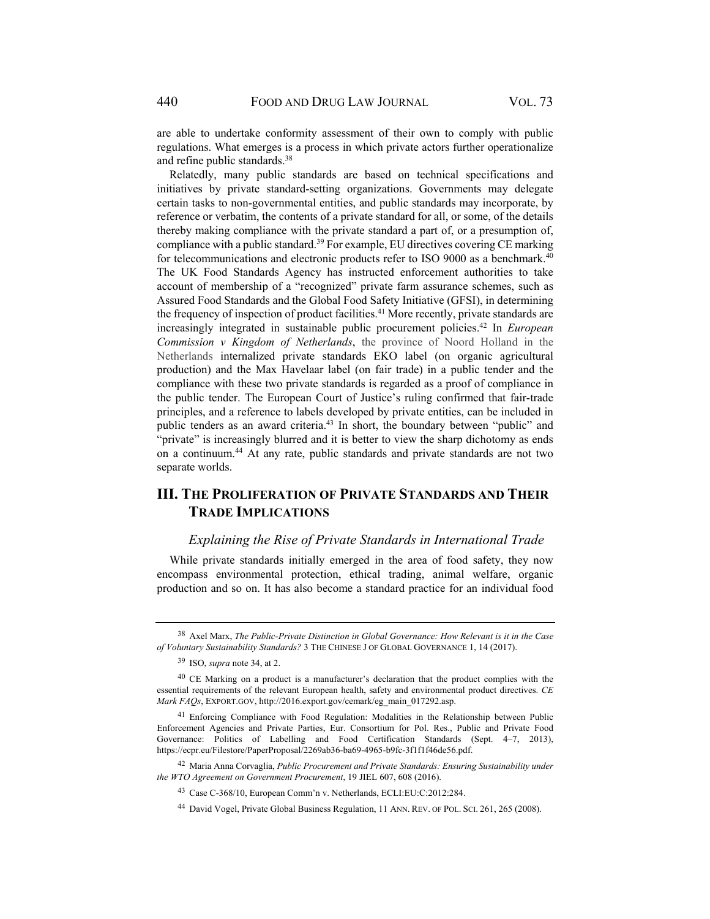are able to undertake conformity assessment of their own to comply with public regulations. What emerges is a process in which private actors further operationalize and refine public standards.38

Relatedly, many public standards are based on technical specifications and initiatives by private standard-setting organizations. Governments may delegate certain tasks to non-governmental entities, and public standards may incorporate, by reference or verbatim, the contents of a private standard for all, or some, of the details thereby making compliance with the private standard a part of, or a presumption of, compliance with a public standard.39 For example, EU directives covering CE marking for telecommunications and electronic products refer to ISO 9000 as a benchmark.<sup>40</sup> The UK Food Standards Agency has instructed enforcement authorities to take account of membership of a "recognized" private farm assurance schemes, such as Assured Food Standards and the Global Food Safety Initiative (GFSI), in determining the frequency of inspection of product facilities.<sup>41</sup> More recently, private standards are increasingly integrated in sustainable public procurement policies.42 In *European Commission v Kingdom of Netherlands*, the province of Noord Holland in the Netherlands internalized private standards EKO label (on organic agricultural production) and the Max Havelaar label (on fair trade) in a public tender and the compliance with these two private standards is regarded as a proof of compliance in the public tender. The European Court of Justice's ruling confirmed that fair-trade principles, and a reference to labels developed by private entities, can be included in public tenders as an award criteria.43 In short, the boundary between "public" and "private" is increasingly blurred and it is better to view the sharp dichotomy as ends on a continuum.44 At any rate, public standards and private standards are not two separate worlds.

# **III. THE PROLIFERATION OF PRIVATE STANDARDS AND THEIR TRADE IMPLICATIONS**

#### *Explaining the Rise of Private Standards in International Trade*

While private standards initially emerged in the area of food safety, they now encompass environmental protection, ethical trading, animal welfare, organic production and so on. It has also become a standard practice for an individual food

<sup>38</sup> Axel Marx, *The Public-Private Distinction in Global Governance: How Relevant is it in the Case of Voluntary Sustainability Standards?* 3 THE CHINESE J OF GLOBAL GOVERNANCE 1, 14 (2017).

<sup>39</sup> ISO, *supra* note 34, at 2.

<sup>40</sup> CE Marking on a product is a manufacturer's declaration that the product complies with the essential requirements of the relevant European health, safety and environmental product directives. *CE Mark FAQs*, EXPORT.GOV, http://2016.export.gov/cemark/eg\_main\_017292.asp.

<sup>&</sup>lt;sup>41</sup> Enforcing Compliance with Food Regulation: Modalities in the Relationship between Public Enforcement Agencies and Private Parties, Eur. Consortium for Pol. Res., Public and Private Food Governance: Politics of Labelling and Food Certification Standards (Sept. 4–7, 2013), https://ecpr.eu/Filestore/PaperProposal/2269ab36-ba69-4965-b9fc-3f1f1f46de56.pdf.

<sup>42</sup> Maria Anna Corvaglia, *Public Procurement and Private Standards: Ensuring Sustainability under the WTO Agreement on Government Procurement*, 19 JIEL 607, 608 (2016).

<sup>43</sup> Case C-368/10, European Comm'n v. Netherlands, ECLI:EU:C:2012:284.

<sup>44</sup> David Vogel, Private Global Business Regulation, 11 ANN. REV. OF POL. SCI. 261, 265 (2008).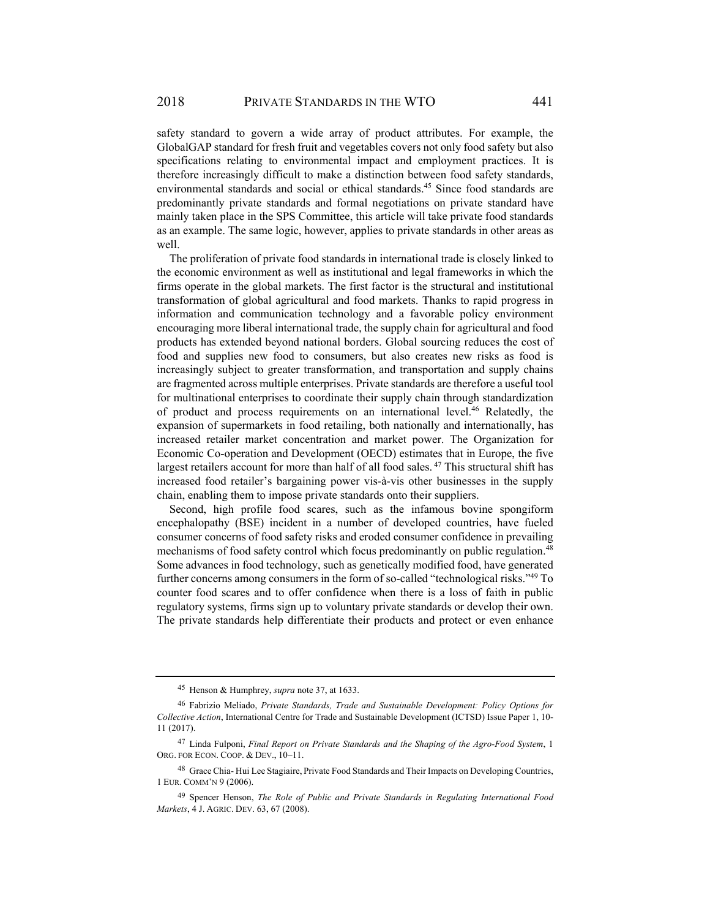safety standard to govern a wide array of product attributes. For example, the GlobalGAP standard for fresh fruit and vegetables covers not only food safety but also specifications relating to environmental impact and employment practices. It is therefore increasingly difficult to make a distinction between food safety standards, environmental standards and social or ethical standards.45 Since food standards are predominantly private standards and formal negotiations on private standard have mainly taken place in the SPS Committee, this article will take private food standards as an example. The same logic, however, applies to private standards in other areas as well.

The proliferation of private food standards in international trade is closely linked to the economic environment as well as institutional and legal frameworks in which the firms operate in the global markets. The first factor is the structural and institutional transformation of global agricultural and food markets. Thanks to rapid progress in information and communication technology and a favorable policy environment encouraging more liberal international trade, the supply chain for agricultural and food products has extended beyond national borders. Global sourcing reduces the cost of food and supplies new food to consumers, but also creates new risks as food is increasingly subject to greater transformation, and transportation and supply chains are fragmented across multiple enterprises. Private standards are therefore a useful tool for multinational enterprises to coordinate their supply chain through standardization of product and process requirements on an international level.46 Relatedly, the expansion of supermarkets in food retailing, both nationally and internationally, has increased retailer market concentration and market power. The Organization for Economic Co-operation and Development (OECD) estimates that in Europe, the five largest retailers account for more than half of all food sales. 47 This structural shift has increased food retailer's bargaining power vis-à-vis other businesses in the supply chain, enabling them to impose private standards onto their suppliers.

Second, high profile food scares, such as the infamous bovine spongiform encephalopathy (BSE) incident in a number of developed countries, have fueled consumer concerns of food safety risks and eroded consumer confidence in prevailing mechanisms of food safety control which focus predominantly on public regulation.<sup>48</sup> Some advances in food technology, such as genetically modified food, have generated further concerns among consumers in the form of so-called "technological risks."49 To counter food scares and to offer confidence when there is a loss of faith in public regulatory systems, firms sign up to voluntary private standards or develop their own. The private standards help differentiate their products and protect or even enhance

<sup>45</sup> Henson & Humphrey, *supra* note 37, at 1633.

<sup>46</sup> Fabrizio Meliado, *Private Standards, Trade and Sustainable Development: Policy Options for Collective Action*, International Centre for Trade and Sustainable Development (ICTSD) Issue Paper 1, 10- 11 (2017).

<sup>47</sup> Linda Fulponi, *Final Report on Private Standards and the Shaping of the Agro-Food System*, 1 ORG. FOR ECON. COOP. & DEV., 10–11.

<sup>48</sup> Grace Chia- Hui Lee Stagiaire, Private Food Standards and Their Impacts on Developing Countries, 1 EUR. COMM'N 9 (2006).

<sup>49</sup> Spencer Henson, *The Role of Public and Private Standards in Regulating International Food Markets*, 4 J. AGRIC. DEV. 63, 67 (2008).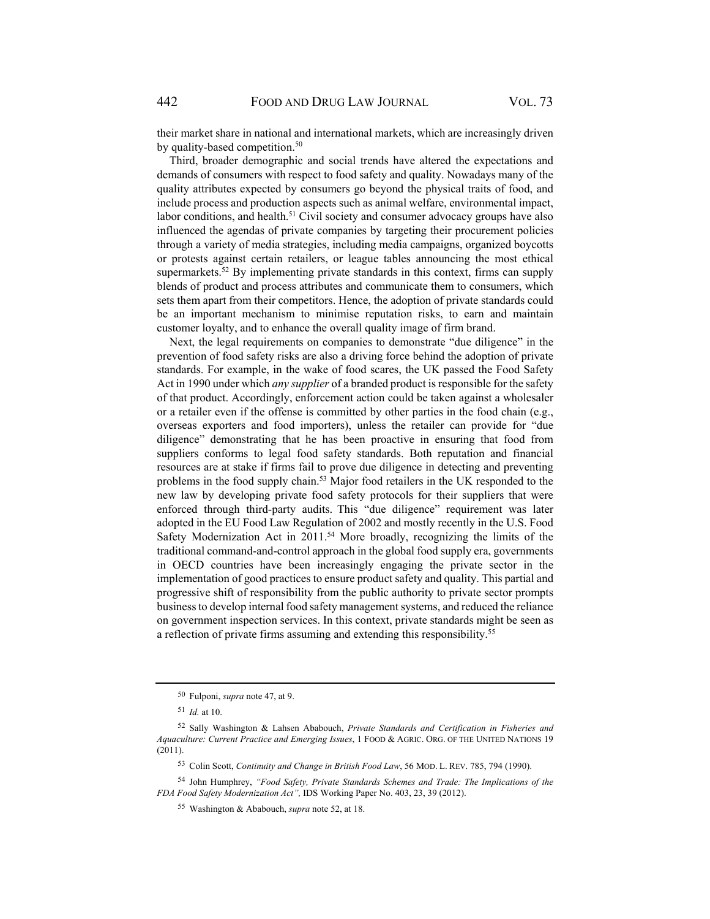their market share in national and international markets, which are increasingly driven by quality-based competition.<sup>50</sup>

Third, broader demographic and social trends have altered the expectations and demands of consumers with respect to food safety and quality. Nowadays many of the quality attributes expected by consumers go beyond the physical traits of food, and include process and production aspects such as animal welfare, environmental impact, labor conditions, and health.<sup>51</sup> Civil society and consumer advocacy groups have also influenced the agendas of private companies by targeting their procurement policies through a variety of media strategies, including media campaigns, organized boycotts or protests against certain retailers, or league tables announcing the most ethical supermarkets.<sup>52</sup> By implementing private standards in this context, firms can supply blends of product and process attributes and communicate them to consumers, which sets them apart from their competitors. Hence, the adoption of private standards could be an important mechanism to minimise reputation risks, to earn and maintain customer loyalty, and to enhance the overall quality image of firm brand.

Next, the legal requirements on companies to demonstrate "due diligence" in the prevention of food safety risks are also a driving force behind the adoption of private standards. For example, in the wake of food scares, the UK passed the Food Safety Act in 1990 under which *any supplier* of a branded product is responsible for the safety of that product. Accordingly, enforcement action could be taken against a wholesaler or a retailer even if the offense is committed by other parties in the food chain (e.g., overseas exporters and food importers), unless the retailer can provide for "due diligence" demonstrating that he has been proactive in ensuring that food from suppliers conforms to legal food safety standards. Both reputation and financial resources are at stake if firms fail to prove due diligence in detecting and preventing problems in the food supply chain.53 Major food retailers in the UK responded to the new law by developing private food safety protocols for their suppliers that were enforced through third-party audits. This "due diligence" requirement was later adopted in the EU Food Law Regulation of 2002 and mostly recently in the U.S. Food Safety Modernization Act in  $2011<sup>54</sup>$  More broadly, recognizing the limits of the traditional command-and-control approach in the global food supply era, governments in OECD countries have been increasingly engaging the private sector in the implementation of good practices to ensure product safety and quality. This partial and progressive shift of responsibility from the public authority to private sector prompts business to develop internal food safety management systems, and reduced the reliance on government inspection services. In this context, private standards might be seen as a reflection of private firms assuming and extending this responsibility.<sup>55</sup>

<sup>50</sup> Fulponi, *supra* note 47, at 9.

<sup>51</sup> *Id.* at 10.

<sup>52</sup> Sally Washington & Lahsen Ababouch, *Private Standards and Certification in Fisheries and Aquaculture: Current Practice and Emerging Issues*, 1 FOOD & AGRIC. ORG. OF THE UNITED NATIONS 19 (2011).

<sup>53</sup> Colin Scott, *Continuity and Change in British Food Law*, 56 MOD. L. REV. 785, 794 (1990).

<sup>54</sup> John Humphrey, *"Food Safety, Private Standards Schemes and Trade: The Implications of the FDA Food Safety Modernization Act",* IDS Working Paper No. 403, 23, 39 (2012).

<sup>55</sup> Washington & Ababouch, *supra* note 52, at 18.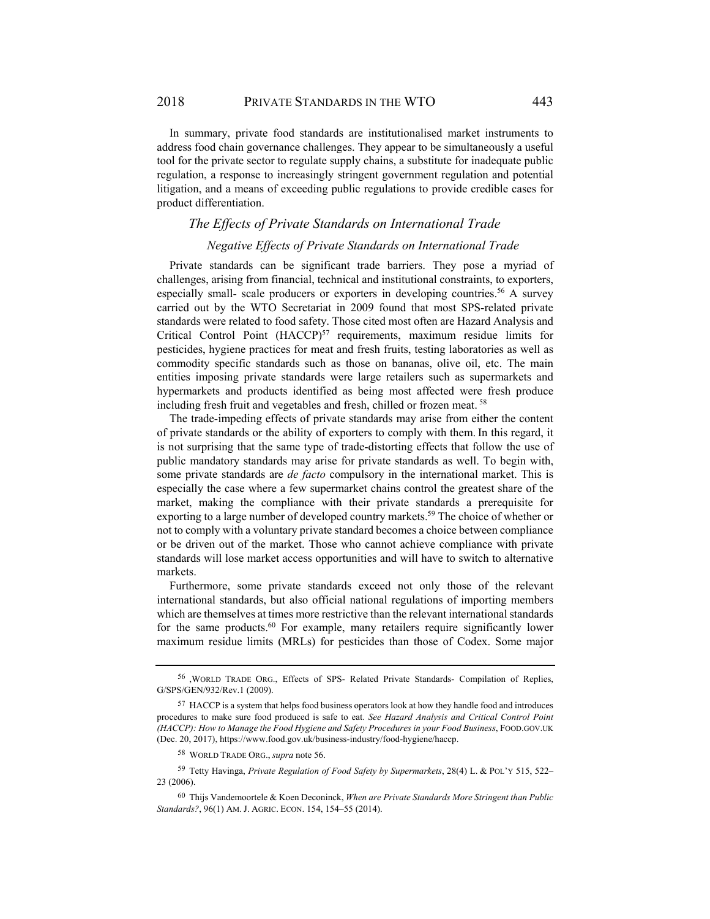In summary, private food standards are institutionalised market instruments to address food chain governance challenges. They appear to be simultaneously a useful tool for the private sector to regulate supply chains, a substitute for inadequate public regulation, a response to increasingly stringent government regulation and potential litigation, and a means of exceeding public regulations to provide credible cases for product differentiation.

## *The Effects of Private Standards on International Trade*

#### *Negative Effects of Private Standards on International Trade*

Private standards can be significant trade barriers. They pose a myriad of challenges, arising from financial, technical and institutional constraints, to exporters, especially small- scale producers or exporters in developing countries.<sup>56</sup> A survey carried out by the WTO Secretariat in 2009 found that most SPS-related private standards were related to food safety. Those cited most often are Hazard Analysis and Critical Control Point (HACCP)<sup>57</sup> requirements, maximum residue limits for pesticides, hygiene practices for meat and fresh fruits, testing laboratories as well as commodity specific standards such as those on bananas, olive oil, etc. The main entities imposing private standards were large retailers such as supermarkets and hypermarkets and products identified as being most affected were fresh produce including fresh fruit and vegetables and fresh, chilled or frozen meat. 58

The trade-impeding effects of private standards may arise from either the content of private standards or the ability of exporters to comply with them. In this regard, it is not surprising that the same type of trade-distorting effects that follow the use of public mandatory standards may arise for private standards as well. To begin with, some private standards are *de facto* compulsory in the international market. This is especially the case where a few supermarket chains control the greatest share of the market, making the compliance with their private standards a prerequisite for exporting to a large number of developed country markets.<sup>59</sup> The choice of whether or not to comply with a voluntary private standard becomes a choice between compliance or be driven out of the market. Those who cannot achieve compliance with private standards will lose market access opportunities and will have to switch to alternative markets.

Furthermore, some private standards exceed not only those of the relevant international standards, but also official national regulations of importing members which are themselves at times more restrictive than the relevant international standards for the same products.<sup>60</sup> For example, many retailers require significantly lower maximum residue limits (MRLs) for pesticides than those of Codex. Some major

<sup>56 ,</sup>WORLD TRADE ORG., Effects of SPS- Related Private Standards- Compilation of Replies, G/SPS/GEN/932/Rev.1 (2009).

<sup>&</sup>lt;sup>57</sup> HACCP is a system that helps food business operators look at how they handle food and introduces procedures to make sure food produced is safe to eat. *See Hazard Analysis and Critical Control Point (HACCP): How to Manage the Food Hygiene and Safety Procedures in your Food Business*, FOOD.GOV.UK (Dec. 20, 2017), https://www.food.gov.uk/business-industry/food-hygiene/haccp.

<sup>58</sup> WORLD TRADE ORG., *supra* note 56.

<sup>59</sup> Tetty Havinga, *Private Regulation of Food Safety by Supermarkets*, 28(4) L. & POL'Y 515, 522– 23 (2006).

<sup>60</sup> Thijs Vandemoortele & Koen Deconinck, *When are Private Standards More Stringent than Public Standards?*, 96(1) AM. J. AGRIC. ECON. 154, 154–55 (2014).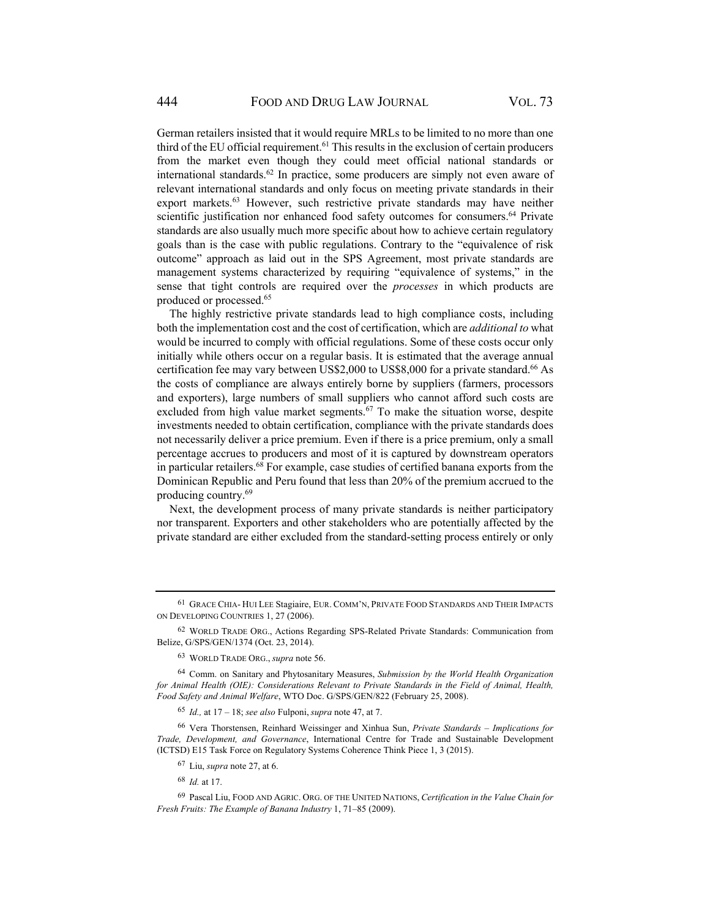German retailers insisted that it would require MRLs to be limited to no more than one third of the EU official requirement. $61$  This results in the exclusion of certain producers from the market even though they could meet official national standards or international standards.<sup>62</sup> In practice, some producers are simply not even aware of relevant international standards and only focus on meeting private standards in their export markets.63 However, such restrictive private standards may have neither scientific justification nor enhanced food safety outcomes for consumers.<sup>64</sup> Private standards are also usually much more specific about how to achieve certain regulatory goals than is the case with public regulations. Contrary to the "equivalence of risk outcome" approach as laid out in the SPS Agreement, most private standards are management systems characterized by requiring "equivalence of systems," in the sense that tight controls are required over the *processes* in which products are produced or processed.65

The highly restrictive private standards lead to high compliance costs, including both the implementation cost and the cost of certification, which are *additional to* what would be incurred to comply with official regulations. Some of these costs occur only initially while others occur on a regular basis. It is estimated that the average annual certification fee may vary between US\$2,000 to US\$8,000 for a private standard.<sup>66</sup> As the costs of compliance are always entirely borne by suppliers (farmers, processors and exporters), large numbers of small suppliers who cannot afford such costs are excluded from high value market segments.<sup>67</sup> To make the situation worse, despite investments needed to obtain certification, compliance with the private standards does not necessarily deliver a price premium. Even if there is a price premium, only a small percentage accrues to producers and most of it is captured by downstream operators in particular retailers.<sup>68</sup> For example, case studies of certified banana exports from the Dominican Republic and Peru found that less than 20% of the premium accrued to the producing country.69

Next, the development process of many private standards is neither participatory nor transparent. Exporters and other stakeholders who are potentially affected by the private standard are either excluded from the standard-setting process entirely or only

<sup>68</sup> *Id.* at 17.

<sup>61</sup> GRACE CHIA- HUI LEE Stagiaire, EUR. COMM'N, PRIVATE FOOD STANDARDS AND THEIR IMPACTS ON DEVELOPING COUNTRIES 1, 27 (2006).

<sup>62</sup> WORLD TRADE ORG., Actions Regarding SPS-Related Private Standards: Communication from Belize, G/SPS/GEN/1374 (Oct. 23, 2014).

<sup>63</sup> WORLD TRADE ORG., *supra* note 56.

<sup>64</sup> Comm. on Sanitary and Phytosanitary Measures, *Submission by the World Health Organization for Animal Health (OIE): Considerations Relevant to Private Standards in the Field of Animal, Health, Food Safety and Animal Welfare*, WTO Doc. G/SPS/GEN/822 (February 25, 2008).

<sup>65</sup> *Id.,* at 17 – 18; *see also* Fulponi, *supra* note 47, at 7.

<sup>66</sup> Vera Thorstensen, Reinhard Weissinger and Xinhua Sun, *Private Standards – Implications for Trade, Development, and Governance*, International Centre for Trade and Sustainable Development (ICTSD) E15 Task Force on Regulatory Systems Coherence Think Piece 1, 3 (2015).

<sup>67</sup> Liu, *supra* note 27, at 6.

<sup>69</sup> Pascal Liu, FOOD AND AGRIC. ORG. OF THE UNITED NATIONS, *Certification in the Value Chain for Fresh Fruits: The Example of Banana Industry* 1, 71–85 (2009).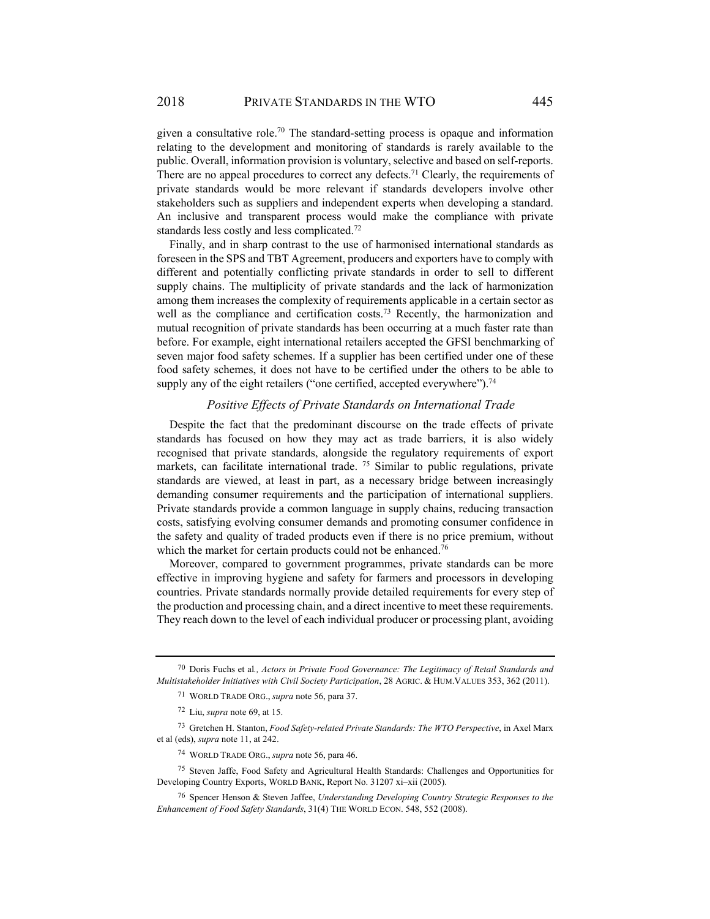given a consultative role.<sup>70</sup> The standard-setting process is opaque and information relating to the development and monitoring of standards is rarely available to the public. Overall, information provision is voluntary, selective and based on self-reports. There are no appeal procedures to correct any defects.<sup>71</sup> Clearly, the requirements of private standards would be more relevant if standards developers involve other stakeholders such as suppliers and independent experts when developing a standard. An inclusive and transparent process would make the compliance with private standards less costly and less complicated.<sup>72</sup>

Finally, and in sharp contrast to the use of harmonised international standards as foreseen in the SPS and TBT Agreement, producers and exporters have to comply with different and potentially conflicting private standards in order to sell to different supply chains. The multiplicity of private standards and the lack of harmonization among them increases the complexity of requirements applicable in a certain sector as well as the compliance and certification costs.<sup>73</sup> Recently, the harmonization and mutual recognition of private standards has been occurring at a much faster rate than before. For example, eight international retailers accepted the GFSI benchmarking of seven major food safety schemes. If a supplier has been certified under one of these food safety schemes, it does not have to be certified under the others to be able to supply any of the eight retailers ("one certified, accepted everywhere").<sup>74</sup>

## *Positive Effects of Private Standards on International Trade*

Despite the fact that the predominant discourse on the trade effects of private standards has focused on how they may act as trade barriers, it is also widely recognised that private standards, alongside the regulatory requirements of export markets, can facilitate international trade. <sup>75</sup> Similar to public regulations, private standards are viewed, at least in part, as a necessary bridge between increasingly demanding consumer requirements and the participation of international suppliers. Private standards provide a common language in supply chains, reducing transaction costs, satisfying evolving consumer demands and promoting consumer confidence in the safety and quality of traded products even if there is no price premium, without which the market for certain products could not be enhanced.<sup>76</sup>

Moreover, compared to government programmes, private standards can be more effective in improving hygiene and safety for farmers and processors in developing countries. Private standards normally provide detailed requirements for every step of the production and processing chain, and a direct incentive to meet these requirements. They reach down to the level of each individual producer or processing plant, avoiding

<sup>70</sup> Doris Fuchs et al*., Actors in Private Food Governance: The Legitimacy of Retail Standards and Multistakeholder Initiatives with Civil Society Participation*, 28 AGRIC. & HUM.VALUES 353, 362 (2011).

<sup>71</sup> WORLD TRADE ORG., *supra* note 56, para 37.

<sup>72</sup> Liu, *supra* note 69, at 15.

<sup>73</sup> Gretchen H. Stanton, *Food Safety-related Private Standards: The WTO Perspective*, in Axel Marx et al (eds), *supra* note 11, at 242.

<sup>74</sup> WORLD TRADE ORG., *supra* note 56, para 46.

<sup>75</sup> Steven Jaffe, Food Safety and Agricultural Health Standards: Challenges and Opportunities for Developing Country Exports, WORLD BANK, Report No. 31207 xi–xii (2005).

<sup>76</sup> Spencer Henson & Steven Jaffee, *Understanding Developing Country Strategic Responses to the Enhancement of Food Safety Standards*, 31(4) THE WORLD ECON. 548, 552 (2008).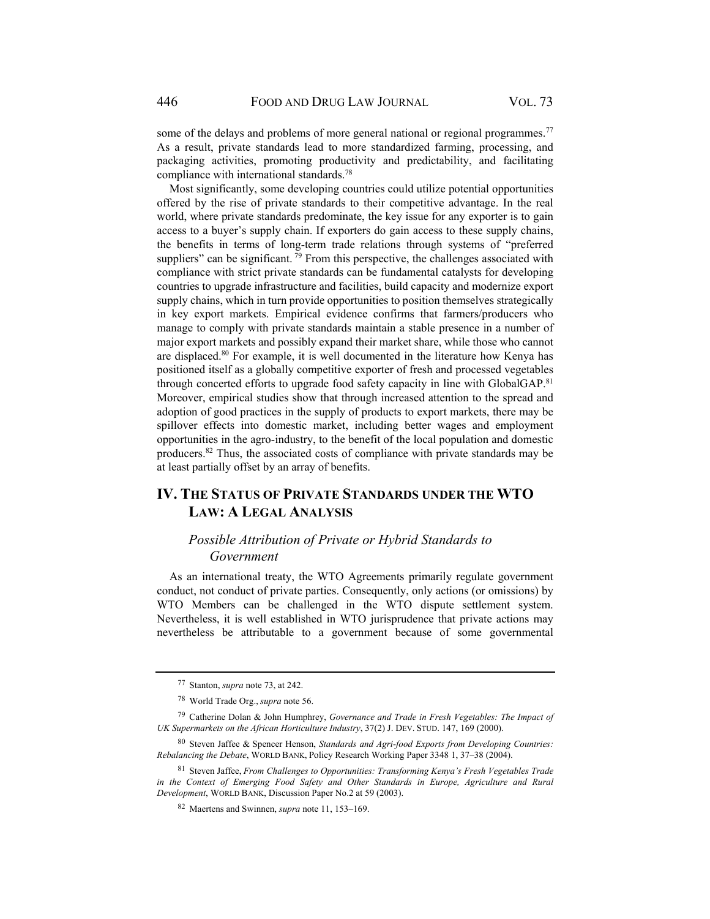some of the delays and problems of more general national or regional programmes.<sup>77</sup> As a result, private standards lead to more standardized farming, processing, and packaging activities, promoting productivity and predictability, and facilitating compliance with international standards.78

Most significantly, some developing countries could utilize potential opportunities offered by the rise of private standards to their competitive advantage. In the real world, where private standards predominate, the key issue for any exporter is to gain access to a buyer's supply chain. If exporters do gain access to these supply chains, the benefits in terms of long-term trade relations through systems of "preferred suppliers" can be significant.  $^{79}$  From this perspective, the challenges associated with compliance with strict private standards can be fundamental catalysts for developing countries to upgrade infrastructure and facilities, build capacity and modernize export supply chains, which in turn provide opportunities to position themselves strategically in key export markets. Empirical evidence confirms that farmers/producers who manage to comply with private standards maintain a stable presence in a number of major export markets and possibly expand their market share, while those who cannot are displaced.80 For example, it is well documented in the literature how Kenya has positioned itself as a globally competitive exporter of fresh and processed vegetables through concerted efforts to upgrade food safety capacity in line with GlobalGAP.<sup>81</sup> Moreover, empirical studies show that through increased attention to the spread and adoption of good practices in the supply of products to export markets, there may be spillover effects into domestic market, including better wages and employment opportunities in the agro-industry, to the benefit of the local population and domestic producers.82 Thus, the associated costs of compliance with private standards may be at least partially offset by an array of benefits.

# **IV. THE STATUS OF PRIVATE STANDARDS UNDER THE WTO LAW: A LEGAL ANALYSIS**

# *Possible Attribution of Private or Hybrid Standards to Government*

As an international treaty, the WTO Agreements primarily regulate government conduct, not conduct of private parties. Consequently, only actions (or omissions) by WTO Members can be challenged in the WTO dispute settlement system. Nevertheless, it is well established in WTO jurisprudence that private actions may nevertheless be attributable to a government because of some governmental

<sup>77</sup> Stanton, *supra* note 73, at 242.

<sup>78</sup> World Trade Org., *supra* note 56.

<sup>79</sup> Catherine Dolan & John Humphrey, *Governance and Trade in Fresh Vegetables: The Impact of UK Supermarkets on the African Horticulture Industry*, 37(2) J. DEV. STUD. 147, 169 (2000).

<sup>80</sup> Steven Jaffee & Spencer Henson, *Standards and Agri-food Exports from Developing Countries: Rebalancing the Debate*, WORLD BANK, Policy Research Working Paper 3348 1, 37–38 (2004).

<sup>81</sup> Steven Jaffee, *From Challenges to Opportunities: Transforming Kenya's Fresh Vegetables Trade in the Context of Emerging Food Safety and Other Standards in Europe, Agriculture and Rural Development*, WORLD BANK, Discussion Paper No.2 at 59 (2003).

<sup>82</sup> Maertens and Swinnen, *supra* note 11, 153–169.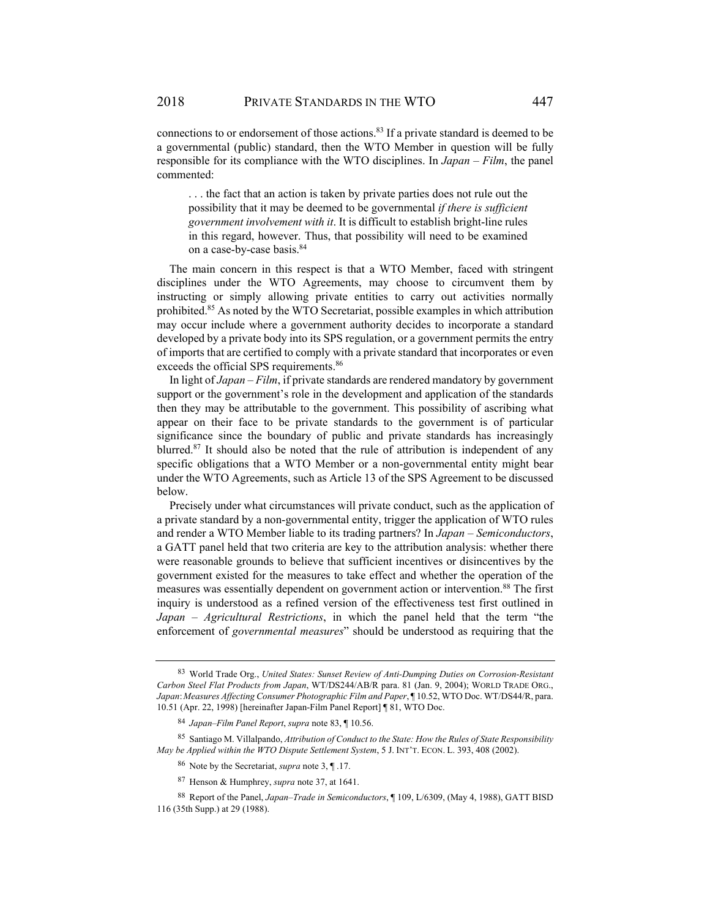. . . the fact that an action is taken by private parties does not rule out the possibility that it may be deemed to be governmental *if there is sufficient government involvement with it*. It is difficult to establish bright-line rules in this regard, however. Thus, that possibility will need to be examined on a case-by-case basis.<sup>84</sup>

The main concern in this respect is that a WTO Member, faced with stringent disciplines under the WTO Agreements, may choose to circumvent them by instructing or simply allowing private entities to carry out activities normally prohibited.85 As noted by the WTO Secretariat, possible examples in which attribution may occur include where a government authority decides to incorporate a standard developed by a private body into its SPS regulation, or a government permits the entry of imports that are certified to comply with a private standard that incorporates or even exceeds the official SPS requirements.<sup>86</sup>

In light of *Japan – Film*, if private standards are rendered mandatory by government support or the government's role in the development and application of the standards then they may be attributable to the government. This possibility of ascribing what appear on their face to be private standards to the government is of particular significance since the boundary of public and private standards has increasingly blurred.<sup>87</sup> It should also be noted that the rule of attribution is independent of any specific obligations that a WTO Member or a non-governmental entity might bear under the WTO Agreements, such as Article 13 of the SPS Agreement to be discussed below.

Precisely under what circumstances will private conduct, such as the application of a private standard by a non-governmental entity, trigger the application of WTO rules and render a WTO Member liable to its trading partners? In *Japan – Semiconductors*, a GATT panel held that two criteria are key to the attribution analysis: whether there were reasonable grounds to believe that sufficient incentives or disincentives by the government existed for the measures to take effect and whether the operation of the measures was essentially dependent on government action or intervention.88 The first inquiry is understood as a refined version of the effectiveness test first outlined in *Japan – Agricultural Restrictions*, in which the panel held that the term "the enforcement of *governmental measures*" should be understood as requiring that the

<sup>83</sup> World Trade Org., *United States: Sunset Review of Anti-Dumping Duties on Corrosion-Resistant Carbon Steel Flat Products from Japan*, WT/DS244/AB/R para. 81 (Jan. 9, 2004); WORLD TRADE ORG., *Japan*:*Measures Affecting Consumer Photographic Film and Paper*, ¶ 10.52, WTO Doc. WT/DS44/R, para. 10.51 (Apr. 22, 1998) [hereinafter Japan-Film Panel Report] ¶ 81, WTO Doc.

<sup>84</sup> *Japan–Film Panel Report*, *supra* note 83, ¶ 10.56.

<sup>85</sup> Santiago M. Villalpando, *Attribution of Conduct to the State: How the Rules of State Responsibility May be Applied within the WTO Dispute Settlement System*, 5 J. INT'T. ECON. L. 393, 408 (2002).

<sup>86</sup> Note by the Secretariat, *supra* note 3, ¶ .17.

<sup>87</sup> Henson & Humphrey, *supra* note 37, at 1641.

<sup>88</sup> Report of the Panel, *Japan–Trade in Semiconductors*, ¶ 109, L/6309, (May 4, 1988), GATT BISD 116 (35th Supp.) at 29 (1988).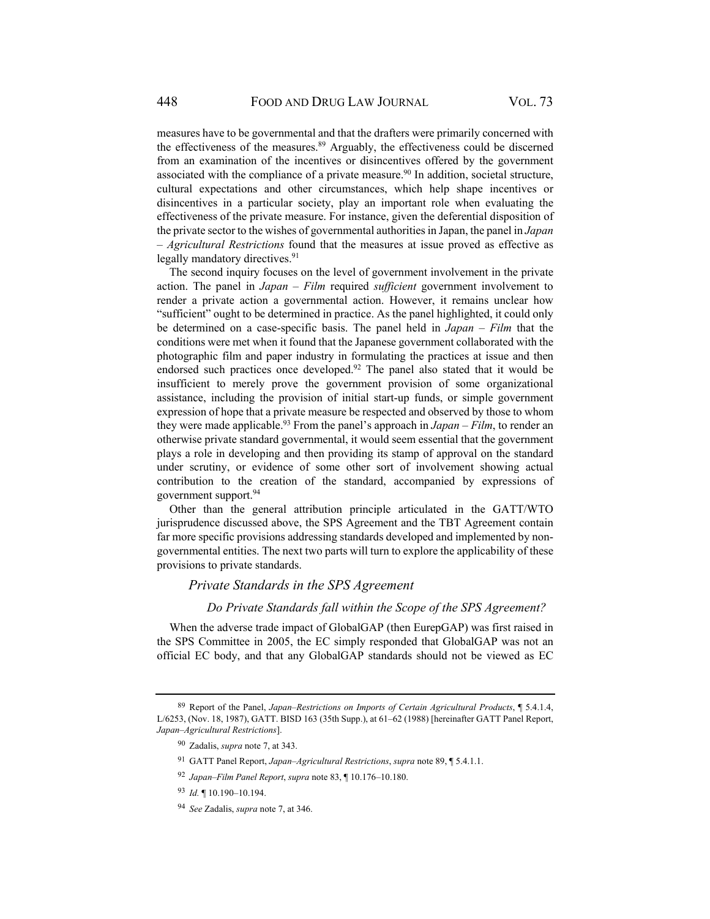measures have to be governmental and that the drafters were primarily concerned with the effectiveness of the measures.<sup>89</sup> Arguably, the effectiveness could be discerned from an examination of the incentives or disincentives offered by the government associated with the compliance of a private measure.<sup>90</sup> In addition, societal structure, cultural expectations and other circumstances, which help shape incentives or disincentives in a particular society, play an important role when evaluating the effectiveness of the private measure. For instance, given the deferential disposition of the private sector to the wishes of governmental authorities in Japan, the panel in *Japan – Agricultural Restrictions* found that the measures at issue proved as effective as legally mandatory directives.<sup>91</sup>

The second inquiry focuses on the level of government involvement in the private action. The panel in *Japan – Film* required *sufficient* government involvement to render a private action a governmental action. However, it remains unclear how "sufficient" ought to be determined in practice. As the panel highlighted, it could only be determined on a case-specific basis. The panel held in *Japan – Film* that the conditions were met when it found that the Japanese government collaborated with the photographic film and paper industry in formulating the practices at issue and then endorsed such practices once developed.<sup>92</sup> The panel also stated that it would be insufficient to merely prove the government provision of some organizational assistance, including the provision of initial start-up funds, or simple government expression of hope that a private measure be respected and observed by those to whom they were made applicable.93 From the panel's approach in *Japan – Film*, to render an otherwise private standard governmental, it would seem essential that the government plays a role in developing and then providing its stamp of approval on the standard under scrutiny, or evidence of some other sort of involvement showing actual contribution to the creation of the standard, accompanied by expressions of government support.94

Other than the general attribution principle articulated in the GATT/WTO jurisprudence discussed above, the SPS Agreement and the TBT Agreement contain far more specific provisions addressing standards developed and implemented by nongovernmental entities. The next two parts will turn to explore the applicability of these provisions to private standards.

#### *Private Standards in the SPS Agreement*

#### *Do Private Standards fall within the Scope of the SPS Agreement?*

When the adverse trade impact of GlobalGAP (then EurepGAP) was first raised in the SPS Committee in 2005, the EC simply responded that GlobalGAP was not an official EC body, and that any GlobalGAP standards should not be viewed as EC

<sup>89</sup> Report of the Panel, *Japan–Restrictions on Imports of Certain Agricultural Products*, ¶ 5.4.1.4, L/6253, (Nov. 18, 1987), GATT. BISD 163 (35th Supp.), at 61–62 (1988) [hereinafter GATT Panel Report, *Japan–Agricultural Restrictions*].

<sup>90</sup> Zadalis, *supra* note 7, at 343.

<sup>91</sup> GATT Panel Report, *Japan–Agricultural Restrictions*, *supra* note 89, ¶ 5.4.1.1.

<sup>92</sup> *Japan–Film Panel Report*, *supra* note 83, ¶ 10.176–10.180.

<sup>93</sup> *Id.* ¶ 10.190–10.194.

<sup>94</sup> *See* Zadalis, *supra* note 7, at 346.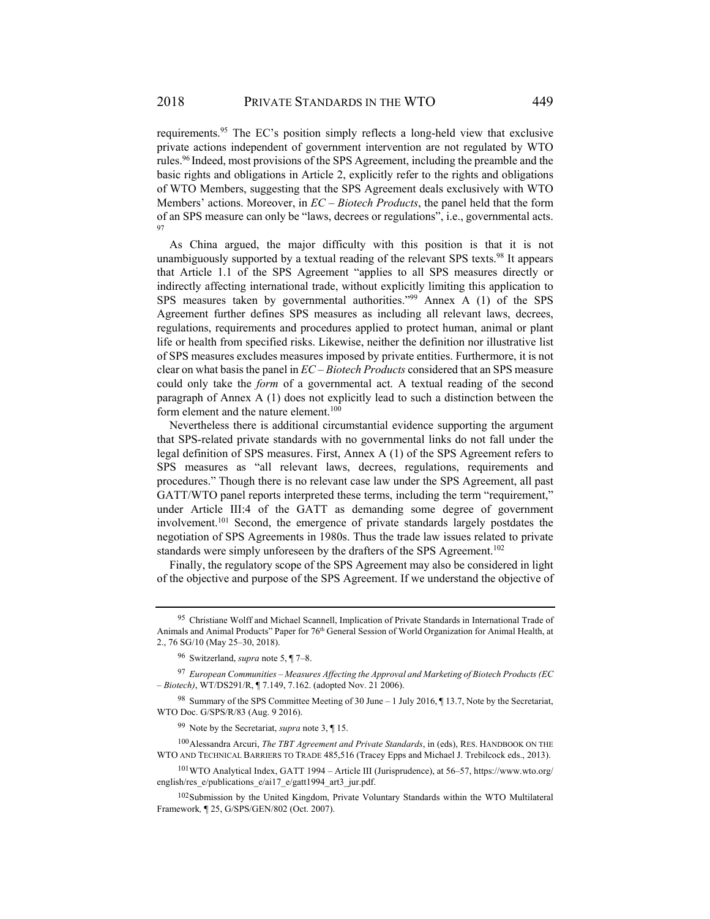requirements.95 The EC's position simply reflects a long-held view that exclusive private actions independent of government intervention are not regulated by WTO rules.96 Indeed, most provisions of the SPS Agreement, including the preamble and the basic rights and obligations in Article 2, explicitly refer to the rights and obligations of WTO Members, suggesting that the SPS Agreement deals exclusively with WTO Members' actions. Moreover, in *EC – Biotech Products*, the panel held that the form of an SPS measure can only be "laws, decrees or regulations", i.e., governmental acts. 97

As China argued, the major difficulty with this position is that it is not unambiguously supported by a textual reading of the relevant SPS texts.98 It appears that Article 1.1 of the SPS Agreement "applies to all SPS measures directly or indirectly affecting international trade, without explicitly limiting this application to SPS measures taken by governmental authorities."<sup>99</sup> Annex A (1) of the SPS Agreement further defines SPS measures as including all relevant laws, decrees, regulations, requirements and procedures applied to protect human, animal or plant life or health from specified risks. Likewise, neither the definition nor illustrative list of SPS measures excludes measures imposed by private entities. Furthermore, it is not clear on what basis the panel in *EC – Biotech Products* considered that an SPS measure could only take the *form* of a governmental act. A textual reading of the second paragraph of Annex A (1) does not explicitly lead to such a distinction between the form element and the nature element.<sup>100</sup>

Nevertheless there is additional circumstantial evidence supporting the argument that SPS-related private standards with no governmental links do not fall under the legal definition of SPS measures. First, Annex A (1) of the SPS Agreement refers to SPS measures as "all relevant laws, decrees, regulations, requirements and procedures." Though there is no relevant case law under the SPS Agreement, all past GATT/WTO panel reports interpreted these terms, including the term "requirement," under Article III:4 of the GATT as demanding some degree of government involvement.101 Second, the emergence of private standards largely postdates the negotiation of SPS Agreements in 1980s. Thus the trade law issues related to private standards were simply unforeseen by the drafters of the SPS Agreement.<sup>102</sup>

Finally, the regulatory scope of the SPS Agreement may also be considered in light of the objective and purpose of the SPS Agreement. If we understand the objective of

<sup>95</sup> Christiane Wolff and Michael Scannell, Implication of Private Standards in International Trade of Animals and Animal Products" Paper for 76th General Session of World Organization for Animal Health, at 2., 76 SG/10 (May 25–30, 2018).

<sup>96</sup> Switzerland, *supra* note 5, ¶ 7–8.

<sup>97</sup> *European Communities – Measures Affecting the Approval and Marketing of Biotech Products (EC – Biotech)*, WT/DS291/R, ¶ 7.149, 7.162. (adopted Nov. 21 2006).

<sup>98</sup> Summary of the SPS Committee Meeting of 30 June – 1 July 2016, ¶13.7, Note by the Secretariat, WTO Doc. G/SPS/R/83 (Aug. 9 2016).

<sup>99</sup> Note by the Secretariat, *supra* note 3, ¶ 15.

<sup>100</sup> Alessandra Arcuri, *The TBT Agreement and Private Standards*, in (eds), RES. HANDBOOK ON THE WTO AND TECHNICAL BARRIERS TO TRADE 485,516 (Tracey Epps and Michael J. Trebilcock eds., 2013).

<sup>101</sup> WTO Analytical Index, GATT 1994 – Article III (Jurisprudence), at 56–57, https://www.wto.org/ english/res\_e/publications\_e/ai17\_e/gatt1994\_art3\_jur.pdf.

<sup>&</sup>lt;sup>102</sup> Submission by the United Kingdom, Private Voluntary Standards within the WTO Multilateral Framework*,* ¶ 25, G/SPS/GEN/802 (Oct. 2007).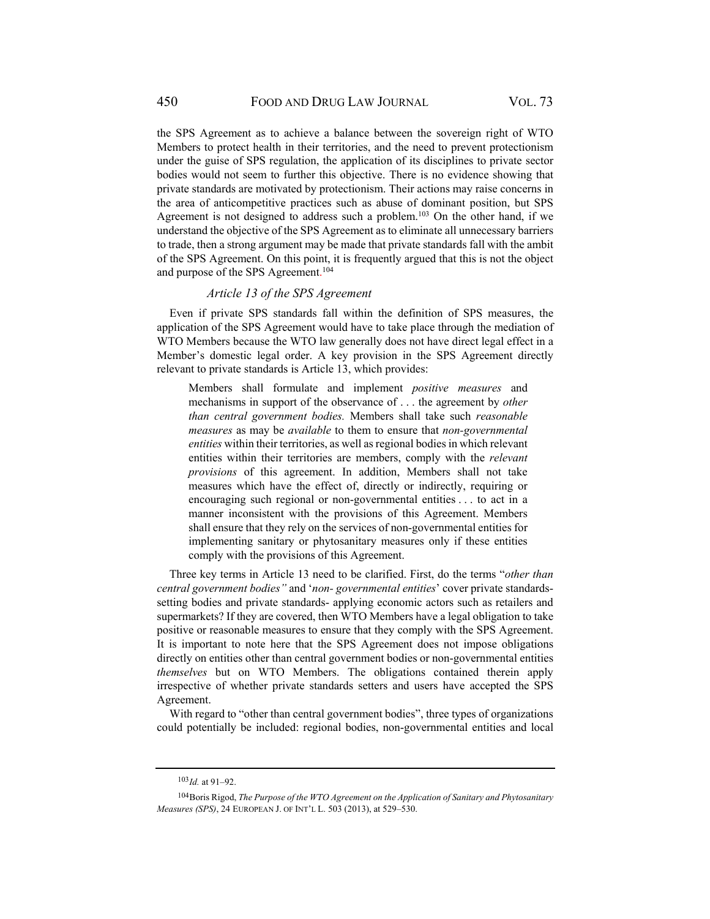the SPS Agreement as to achieve a balance between the sovereign right of WTO Members to protect health in their territories, and the need to prevent protectionism under the guise of SPS regulation, the application of its disciplines to private sector bodies would not seem to further this objective. There is no evidence showing that private standards are motivated by protectionism. Their actions may raise concerns in the area of anticompetitive practices such as abuse of dominant position, but SPS Agreement is not designed to address such a problem.<sup>103</sup> On the other hand, if we understand the objective of the SPS Agreement as to eliminate all unnecessary barriers to trade, then a strong argument may be made that private standards fall with the ambit of the SPS Agreement. On this point, it is frequently argued that this is not the object and purpose of the SPS Agreement.<sup>104</sup>

#### *Article 13 of the SPS Agreement*

Even if private SPS standards fall within the definition of SPS measures, the application of the SPS Agreement would have to take place through the mediation of WTO Members because the WTO law generally does not have direct legal effect in a Member's domestic legal order. A key provision in the SPS Agreement directly relevant to private standards is Article 13, which provides:

Members shall formulate and implement *positive measures* and mechanisms in support of the observance of . . . the agreement by *other than central government bodies.* Members shall take such *reasonable measures* as may be *available* to them to ensure that *non-governmental entities* within their territories, as well as regional bodies in which relevant entities within their territories are members, comply with the *relevant provisions* of this agreement. In addition, Members shall not take measures which have the effect of, directly or indirectly, requiring or encouraging such regional or non-governmental entities . . . to act in a manner inconsistent with the provisions of this Agreement. Members shall ensure that they rely on the services of non-governmental entities for implementing sanitary or phytosanitary measures only if these entities comply with the provisions of this Agreement.

Three key terms in Article 13 need to be clarified. First, do the terms "*other than central government bodies"* and '*non- governmental entities*' cover private standardssetting bodies and private standards- applying economic actors such as retailers and supermarkets? If they are covered, then WTO Members have a legal obligation to take positive or reasonable measures to ensure that they comply with the SPS Agreement. It is important to note here that the SPS Agreement does not impose obligations directly on entities other than central government bodies or non-governmental entities *themselves* but on WTO Members. The obligations contained therein apply irrespective of whether private standards setters and users have accepted the SPS Agreement.

With regard to "other than central government bodies", three types of organizations could potentially be included: regional bodies, non-governmental entities and local

 $103$  *Id.* at 91–92.

<sup>104</sup> Boris Rigod, *The Purpose of the WTO Agreement on the Application of Sanitary and Phytosanitary Measures (SPS)*, 24 EUROPEAN J. OF INT'L L. 503 (2013), at 529–530.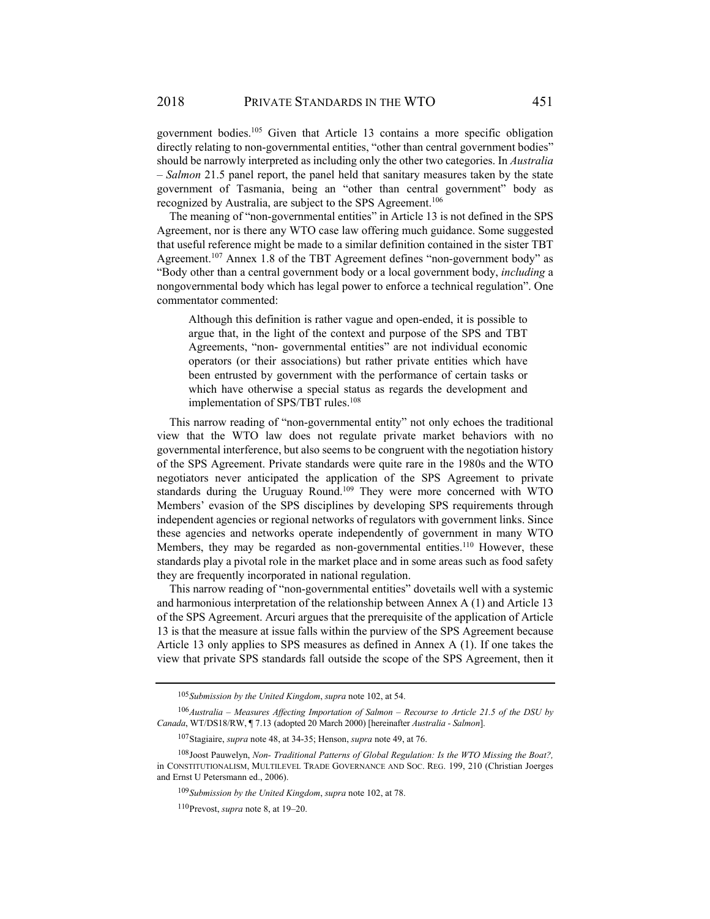government bodies.105 Given that Article 13 contains a more specific obligation directly relating to non-governmental entities, "other than central government bodies" should be narrowly interpreted as including only the other two categories. In *Australia – Salmon* 21.5 panel report, the panel held that sanitary measures taken by the state government of Tasmania, being an "other than central government" body as recognized by Australia, are subject to the SPS Agreement.<sup>106</sup>

The meaning of "non-governmental entities" in Article 13 is not defined in the SPS Agreement, nor is there any WTO case law offering much guidance. Some suggested that useful reference might be made to a similar definition contained in the sister TBT Agreement.<sup>107</sup> Annex 1.8 of the TBT Agreement defines "non-government body" as "Body other than a central government body or a local government body, *including* a nongovernmental body which has legal power to enforce a technical regulation". One commentator commented:

Although this definition is rather vague and open-ended, it is possible to argue that, in the light of the context and purpose of the SPS and TBT Agreements, "non- governmental entities" are not individual economic operators (or their associations) but rather private entities which have been entrusted by government with the performance of certain tasks or which have otherwise a special status as regards the development and implementation of SPS/TBT rules.<sup>108</sup>

This narrow reading of "non-governmental entity" not only echoes the traditional view that the WTO law does not regulate private market behaviors with no governmental interference, but also seems to be congruent with the negotiation history of the SPS Agreement. Private standards were quite rare in the 1980s and the WTO negotiators never anticipated the application of the SPS Agreement to private standards during the Uruguay Round.109 They were more concerned with WTO Members' evasion of the SPS disciplines by developing SPS requirements through independent agencies or regional networks of regulators with government links. Since these agencies and networks operate independently of government in many WTO Members, they may be regarded as non-governmental entities.<sup>110</sup> However, these standards play a pivotal role in the market place and in some areas such as food safety they are frequently incorporated in national regulation.

This narrow reading of "non-governmental entities" dovetails well with a systemic and harmonious interpretation of the relationship between Annex A (1) and Article 13 of the SPS Agreement. Arcuri argues that the prerequisite of the application of Article 13 is that the measure at issue falls within the purview of the SPS Agreement because Article 13 only applies to SPS measures as defined in Annex A (1). If one takes the view that private SPS standards fall outside the scope of the SPS Agreement, then it

<sup>105</sup> *Submission by the United Kingdom*, *supra* note 102, at 54.

<sup>106</sup> *Australia – Measures Affecting Importation of Salmon – Recourse to Article 21.5 of the DSU by Canada*, WT/DS18/RW, ¶ 7.13 (adopted 20 March 2000) [hereinafter *Australia - Salmon*].

<sup>107</sup> Stagiaire, *supra* note 48, at 34-35; Henson, *supra* note 49, at 76.

<sup>108</sup> Joost Pauwelyn, *Non- Traditional Patterns of Global Regulation: Is the WTO Missing the Boat?,* in CONSTITUTIONALISM, MULTILEVEL TRADE GOVERNANCE AND SOC. REG. 199, 210 (Christian Joerges and Ernst U Petersmann ed., 2006).

<sup>109</sup> *Submission by the United Kingdom*, *supra* note 102, at 78.

<sup>110</sup> Prevost, *supra* note 8, at 19–20.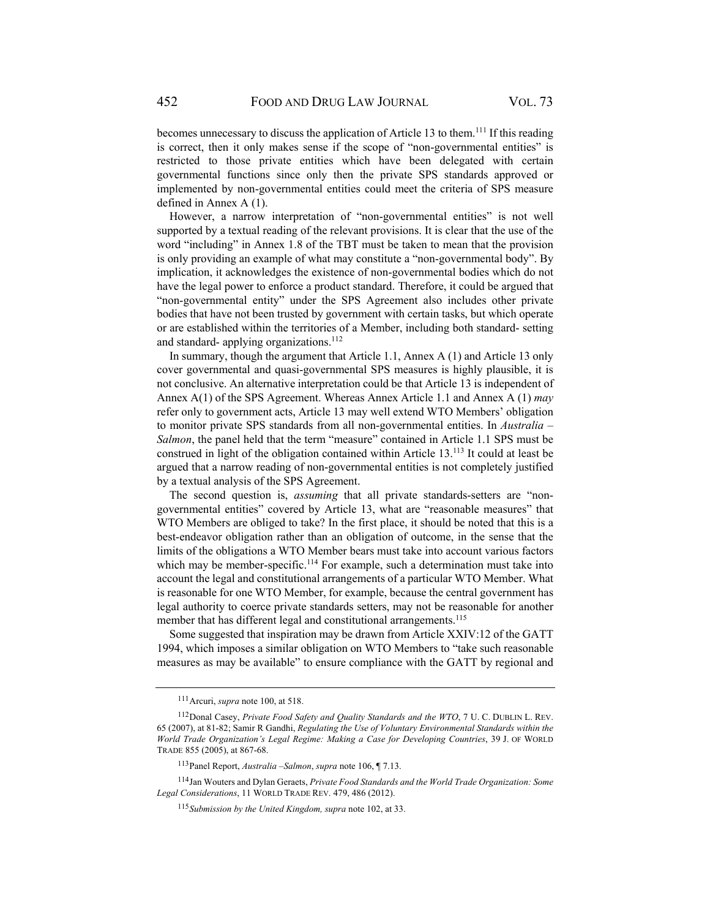becomes unnecessary to discuss the application of Article 13 to them.<sup>111</sup> If this reading is correct, then it only makes sense if the scope of "non-governmental entities" is restricted to those private entities which have been delegated with certain governmental functions since only then the private SPS standards approved or implemented by non-governmental entities could meet the criteria of SPS measure defined in Annex A (1).

However, a narrow interpretation of "non-governmental entities" is not well supported by a textual reading of the relevant provisions. It is clear that the use of the word "including" in Annex 1.8 of the TBT must be taken to mean that the provision is only providing an example of what may constitute a "non-governmental body". By implication, it acknowledges the existence of non-governmental bodies which do not have the legal power to enforce a product standard. Therefore, it could be argued that "non-governmental entity" under the SPS Agreement also includes other private bodies that have not been trusted by government with certain tasks, but which operate or are established within the territories of a Member, including both standard- setting and standard- applying organizations.<sup>112</sup>

In summary, though the argument that Article 1.1, Annex A (1) and Article 13 only cover governmental and quasi-governmental SPS measures is highly plausible, it is not conclusive. An alternative interpretation could be that Article 13 is independent of Annex A(1) of the SPS Agreement. Whereas Annex Article 1.1 and Annex A (1) *may*  refer only to government acts, Article 13 may well extend WTO Members' obligation to monitor private SPS standards from all non-governmental entities. In *Australia – Salmon*, the panel held that the term "measure" contained in Article 1.1 SPS must be construed in light of the obligation contained within Article 13.113 It could at least be argued that a narrow reading of non-governmental entities is not completely justified by a textual analysis of the SPS Agreement.

The second question is, *assuming* that all private standards-setters are "nongovernmental entities" covered by Article 13, what are "reasonable measures" that WTO Members are obliged to take? In the first place, it should be noted that this is a best-endeavor obligation rather than an obligation of outcome, in the sense that the limits of the obligations a WTO Member bears must take into account various factors which may be member-specific.<sup>114</sup> For example, such a determination must take into account the legal and constitutional arrangements of a particular WTO Member. What is reasonable for one WTO Member, for example, because the central government has legal authority to coerce private standards setters, may not be reasonable for another member that has different legal and constitutional arrangements.<sup>115</sup>

Some suggested that inspiration may be drawn from Article XXIV:12 of the GATT 1994, which imposes a similar obligation on WTO Members to "take such reasonable measures as may be available" to ensure compliance with the GATT by regional and

<sup>111</sup> Arcuri, *supra* note 100, at 518.

<sup>112</sup> Donal Casey, *Private Food Safety and Quality Standards and the WTO*, 7 U. C. DUBLIN L. REV. 65 (2007), at 81-82; Samir R Gandhi, *Regulating the Use of Voluntary Environmental Standards within the World Trade Organization's Legal Regime: Making a Case for Developing Countries*, 39 J. OF WORLD TRADE 855 (2005), at 867-68.

<sup>113</sup> Panel Report, *Australia –Salmon*, *supra* note 106, ¶ 7.13.

<sup>114</sup> Jan Wouters and Dylan Geraets, *Private Food Standards and the World Trade Organization: Some Legal Considerations*, 11 WORLD TRADE REV. 479, 486 (2012).

<sup>115</sup> *Submission by the United Kingdom, supra* note 102, at 33.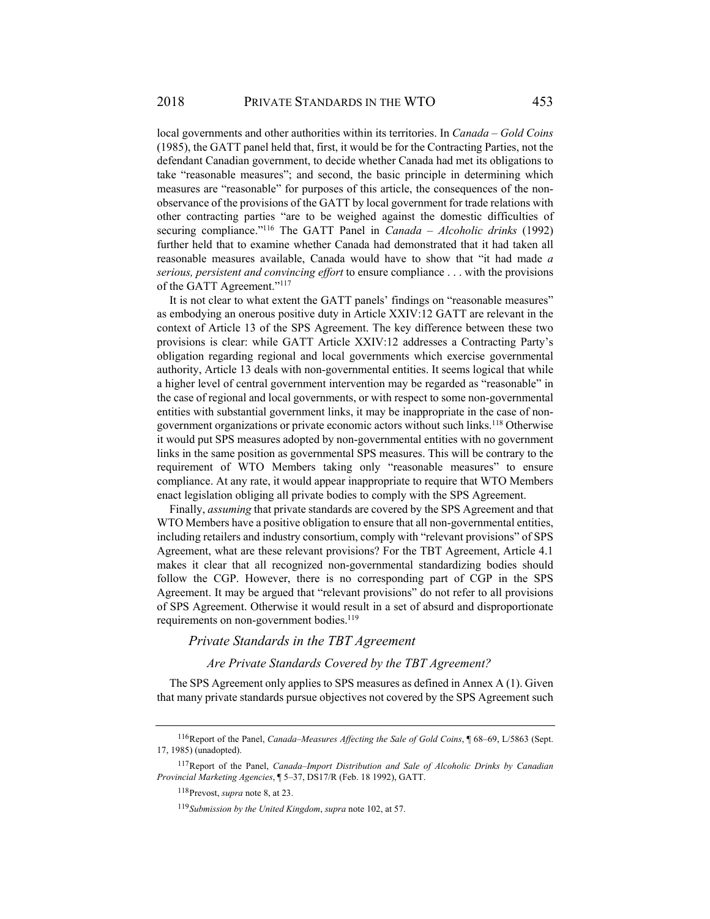local governments and other authorities within its territories. In *Canada – Gold Coins*  (1985), the GATT panel held that, first, it would be for the Contracting Parties, not the defendant Canadian government, to decide whether Canada had met its obligations to take "reasonable measures"; and second, the basic principle in determining which measures are "reasonable" for purposes of this article, the consequences of the nonobservance of the provisions of the GATT by local government for trade relations with other contracting parties "are to be weighed against the domestic difficulties of securing compliance."116 The GATT Panel in *Canada – Alcoholic drinks* (1992) further held that to examine whether Canada had demonstrated that it had taken all reasonable measures available, Canada would have to show that "it had made *a serious, persistent and convincing effort* to ensure compliance . . . with the provisions of the GATT Agreement."<sup>117</sup>

It is not clear to what extent the GATT panels' findings on "reasonable measures" as embodying an onerous positive duty in Article XXIV:12 GATT are relevant in the context of Article 13 of the SPS Agreement. The key difference between these two provisions is clear: while GATT Article XXIV:12 addresses a Contracting Party's obligation regarding regional and local governments which exercise governmental authority, Article 13 deals with non-governmental entities. It seems logical that while a higher level of central government intervention may be regarded as "reasonable" in the case of regional and local governments, or with respect to some non-governmental entities with substantial government links, it may be inappropriate in the case of nongovernment organizations or private economic actors without such links.118 Otherwise it would put SPS measures adopted by non-governmental entities with no government links in the same position as governmental SPS measures. This will be contrary to the requirement of WTO Members taking only "reasonable measures" to ensure compliance. At any rate, it would appear inappropriate to require that WTO Members enact legislation obliging all private bodies to comply with the SPS Agreement.

Finally, *assuming* that private standards are covered by the SPS Agreement and that WTO Members have a positive obligation to ensure that all non-governmental entities, including retailers and industry consortium, comply with "relevant provisions" of SPS Agreement, what are these relevant provisions? For the TBT Agreement, Article 4.1 makes it clear that all recognized non-governmental standardizing bodies should follow the CGP. However, there is no corresponding part of CGP in the SPS Agreement. It may be argued that "relevant provisions" do not refer to all provisions of SPS Agreement. Otherwise it would result in a set of absurd and disproportionate requirements on non-government bodies.<sup>119</sup>

## *Private Standards in the TBT Agreement*

#### *Are Private Standards Covered by the TBT Agreement?*

The SPS Agreement only applies to SPS measures as defined in Annex A (1). Given that many private standards pursue objectives not covered by the SPS Agreement such

<sup>116</sup> Report of the Panel, *Canada–Measures Affecting the Sale of Gold Coins*, ¶ 68–69, L/5863 (Sept. 17, 1985) (unadopted).

<sup>117</sup> Report of the Panel, *Canada–Import Distribution and Sale of Alcoholic Drinks by Canadian Provincial Marketing Agencies*, ¶ 5–37, DS17/R (Feb. 18 1992), GATT.

<sup>118</sup> Prevost, *supra* note 8, at 23.

<sup>119</sup> *Submission by the United Kingdom*, *supra* note 102, at 57.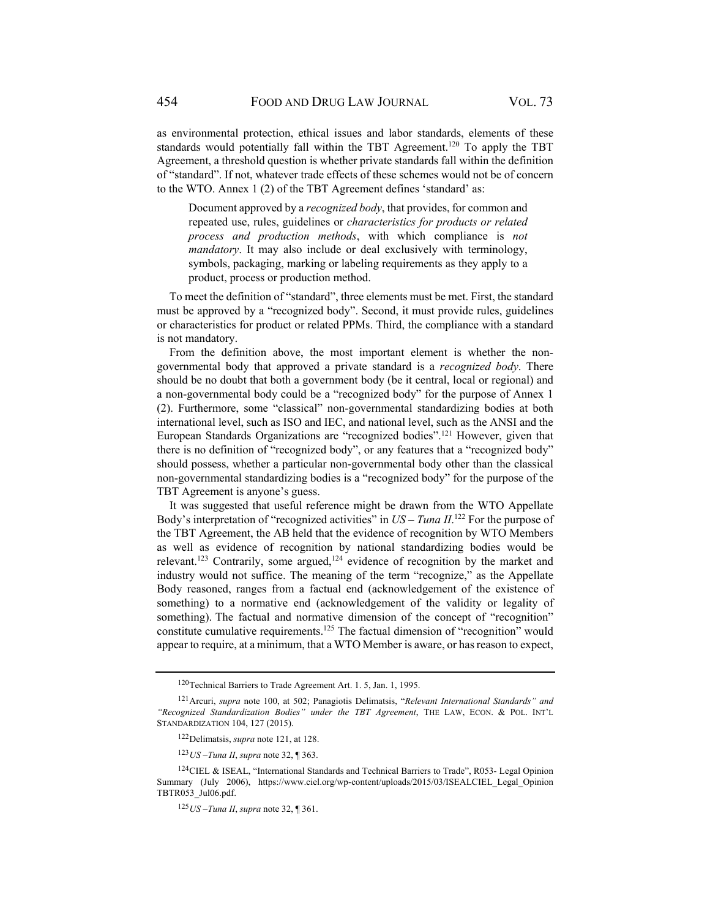as environmental protection, ethical issues and labor standards, elements of these standards would potentially fall within the TBT Agreement.<sup>120</sup> To apply the TBT Agreement, a threshold question is whether private standards fall within the definition of "standard". If not, whatever trade effects of these schemes would not be of concern to the WTO. Annex 1 (2) of the TBT Agreement defines 'standard' as:

Document approved by a *recognized body*, that provides, for common and repeated use, rules, guidelines or *characteristics for products or related process and production methods*, with which compliance is *not mandatory*. It may also include or deal exclusively with terminology, symbols, packaging, marking or labeling requirements as they apply to a product, process or production method.

To meet the definition of "standard", three elements must be met. First, the standard must be approved by a "recognized body". Second, it must provide rules, guidelines or characteristics for product or related PPMs. Third, the compliance with a standard is not mandatory.

From the definition above, the most important element is whether the nongovernmental body that approved a private standard is a *recognized body*. There should be no doubt that both a government body (be it central, local or regional) and a non-governmental body could be a "recognized body" for the purpose of Annex 1 (2). Furthermore, some "classical" non-governmental standardizing bodies at both international level, such as ISO and IEC, and national level, such as the ANSI and the European Standards Organizations are "recognized bodies".121 However, given that there is no definition of "recognized body", or any features that a "recognized body" should possess, whether a particular non-governmental body other than the classical non-governmental standardizing bodies is a "recognized body" for the purpose of the TBT Agreement is anyone's guess.

It was suggested that useful reference might be drawn from the WTO Appellate Body's interpretation of "recognized activities" in  $US - T$ *una II*.<sup>122</sup> For the purpose of the TBT Agreement, the AB held that the evidence of recognition by WTO Members as well as evidence of recognition by national standardizing bodies would be relevant.<sup>123</sup> Contrarily, some argued,<sup>124</sup> evidence of recognition by the market and industry would not suffice. The meaning of the term "recognize," as the Appellate Body reasoned, ranges from a factual end (acknowledgement of the existence of something) to a normative end (acknowledgement of the validity or legality of something). The factual and normative dimension of the concept of "recognition" constitute cumulative requirements.125 The factual dimension of "recognition" would appear to require, at a minimum, that a WTO Member is aware, or has reason to expect,

<sup>120</sup> Technical Barriers to Trade Agreement Art. 1. 5, Jan. 1, 1995.

<sup>121</sup> Arcuri, *supra* note 100, at 502; Panagiotis Delimatsis, "*Relevant International Standards" and "Recognized Standardization Bodies" under the TBT Agreement*, THE LAW, ECON. & POL. INT'L STANDARDIZATION 104, 127 (2015).

<sup>122</sup> Delimatsis, *supra* note 121, at 128.

<sup>123</sup> *US –Tuna II*, *supra* note 32, ¶ 363.

<sup>124</sup> CIEL & ISEAL, "International Standards and Technical Barriers to Trade", R053- Legal Opinion Summary (July 2006), https://www.ciel.org/wp-content/uploads/2015/03/ISEALCIEL\_Legal\_Opinion TBTR053\_Jul06.pdf.

<sup>125</sup> *US –Tuna II*, *supra* note 32, ¶ 361.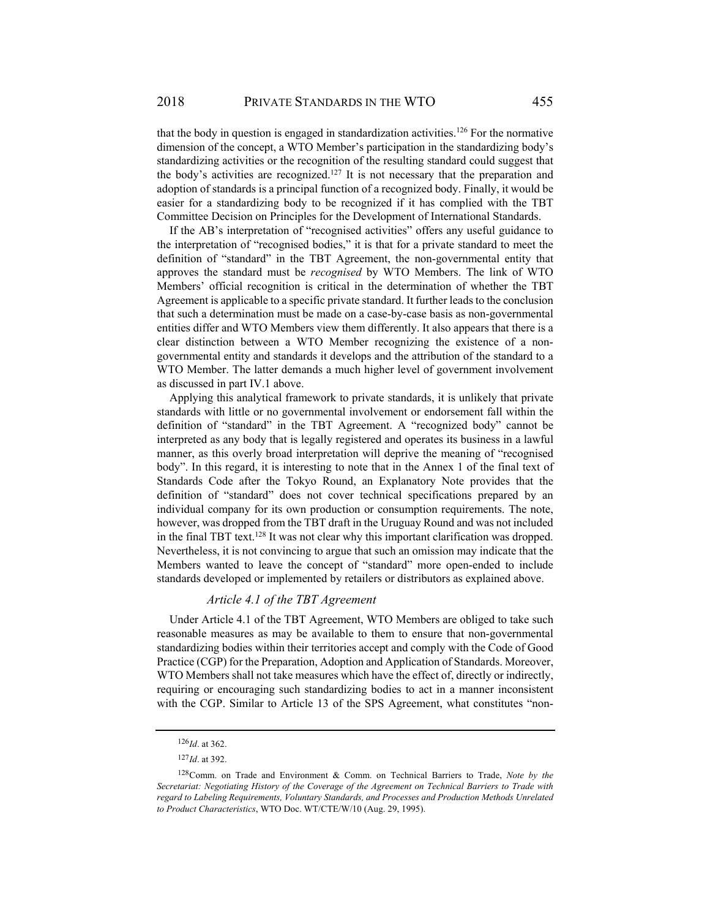that the body in question is engaged in standardization activities.<sup>126</sup> For the normative dimension of the concept, a WTO Member's participation in the standardizing body's standardizing activities or the recognition of the resulting standard could suggest that the body's activities are recognized.<sup>127</sup> It is not necessary that the preparation and adoption of standards is a principal function of a recognized body. Finally, it would be easier for a standardizing body to be recognized if it has complied with the TBT Committee Decision on Principles for the Development of International Standards.

If the AB's interpretation of "recognised activities" offers any useful guidance to the interpretation of "recognised bodies," it is that for a private standard to meet the definition of "standard" in the TBT Agreement, the non-governmental entity that approves the standard must be *recognised* by WTO Members. The link of WTO Members' official recognition is critical in the determination of whether the TBT Agreement is applicable to a specific private standard. It further leads to the conclusion that such a determination must be made on a case-by-case basis as non-governmental entities differ and WTO Members view them differently. It also appears that there is a clear distinction between a WTO Member recognizing the existence of a nongovernmental entity and standards it develops and the attribution of the standard to a WTO Member. The latter demands a much higher level of government involvement as discussed in part IV.1 above.

Applying this analytical framework to private standards, it is unlikely that private standards with little or no governmental involvement or endorsement fall within the definition of "standard" in the TBT Agreement. A "recognized body" cannot be interpreted as any body that is legally registered and operates its business in a lawful manner, as this overly broad interpretation will deprive the meaning of "recognised body". In this regard, it is interesting to note that in the Annex 1 of the final text of Standards Code after the Tokyo Round, an Explanatory Note provides that the definition of "standard" does not cover technical specifications prepared by an individual company for its own production or consumption requirements. The note, however, was dropped from the TBT draft in the Uruguay Round and was not included in the final TBT text.<sup>128</sup> It was not clear why this important clarification was dropped. Nevertheless, it is not convincing to argue that such an omission may indicate that the Members wanted to leave the concept of "standard" more open-ended to include standards developed or implemented by retailers or distributors as explained above.

## *Article 4.1 of the TBT Agreement*

Under Article 4.1 of the TBT Agreement, WTO Members are obliged to take such reasonable measures as may be available to them to ensure that non-governmental standardizing bodies within their territories accept and comply with the Code of Good Practice (CGP) for the Preparation, Adoption and Application of Standards. Moreover, WTO Members shall not take measures which have the effect of, directly or indirectly, requiring or encouraging such standardizing bodies to act in a manner inconsistent with the CGP. Similar to Article 13 of the SPS Agreement, what constitutes "non-

<sup>126</sup> *Id*. at 362.

<sup>127</sup> *Id*. at 392.

<sup>128</sup> Comm. on Trade and Environment & Comm. on Technical Barriers to Trade, *Note by the Secretariat: Negotiating History of the Coverage of the Agreement on Technical Barriers to Trade with regard to Labeling Requirements, Voluntary Standards, and Processes and Production Methods Unrelated to Product Characteristics*, WTO Doc. WT/CTE/W/10 (Aug. 29, 1995).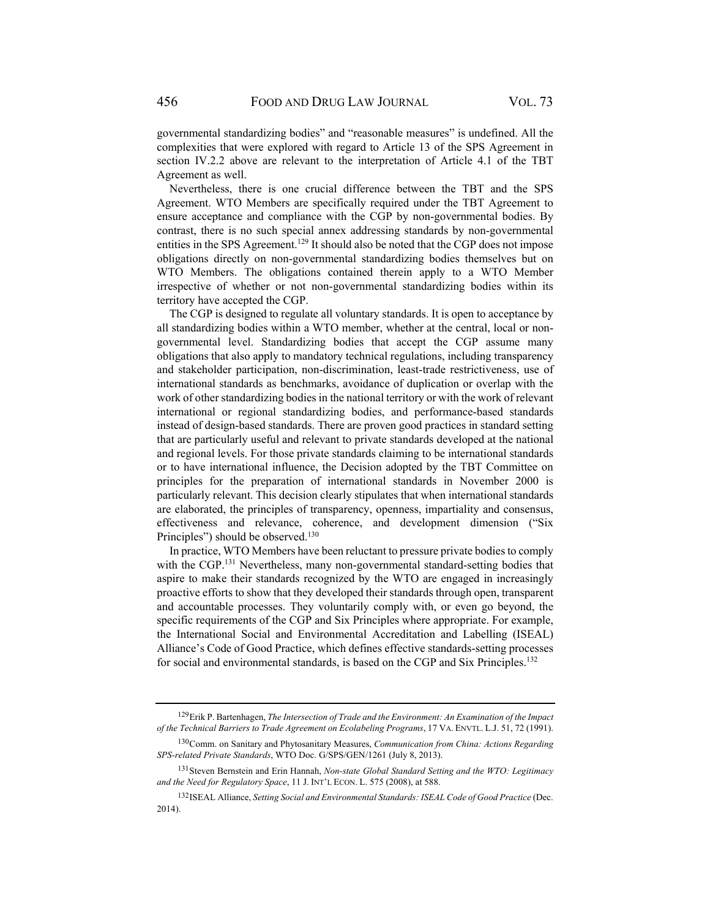governmental standardizing bodies" and "reasonable measures" is undefined. All the complexities that were explored with regard to Article 13 of the SPS Agreement in section IV.2.2 above are relevant to the interpretation of Article 4.1 of the TBT Agreement as well.

Nevertheless, there is one crucial difference between the TBT and the SPS Agreement. WTO Members are specifically required under the TBT Agreement to ensure acceptance and compliance with the CGP by non-governmental bodies. By contrast, there is no such special annex addressing standards by non-governmental entities in the SPS Agreement.<sup>129</sup> It should also be noted that the CGP does not impose obligations directly on non-governmental standardizing bodies themselves but on WTO Members. The obligations contained therein apply to a WTO Member irrespective of whether or not non-governmental standardizing bodies within its territory have accepted the CGP.

The CGP is designed to regulate all voluntary standards. It is open to acceptance by all standardizing bodies within a WTO member, whether at the central, local or nongovernmental level. Standardizing bodies that accept the CGP assume many obligations that also apply to mandatory technical regulations, including transparency and stakeholder participation, non-discrimination, least-trade restrictiveness, use of international standards as benchmarks, avoidance of duplication or overlap with the work of other standardizing bodies in the national territory or with the work of relevant international or regional standardizing bodies, and performance-based standards instead of design-based standards. There are proven good practices in standard setting that are particularly useful and relevant to private standards developed at the national and regional levels. For those private standards claiming to be international standards or to have international influence, the Decision adopted by the TBT Committee on principles for the preparation of international standards in November 2000 is particularly relevant. This decision clearly stipulates that when international standards are elaborated, the principles of transparency, openness, impartiality and consensus, effectiveness and relevance, coherence, and development dimension ("Six Principles") should be observed.<sup>130</sup>

In practice, WTO Members have been reluctant to pressure private bodies to comply with the CGP.<sup>131</sup> Nevertheless, many non-governmental standard-setting bodies that aspire to make their standards recognized by the WTO are engaged in increasingly proactive efforts to show that they developed their standards through open, transparent and accountable processes. They voluntarily comply with, or even go beyond, the specific requirements of the CGP and Six Principles where appropriate. For example, the International Social and Environmental Accreditation and Labelling (ISEAL) Alliance's Code of Good Practice, which defines effective standards-setting processes for social and environmental standards, is based on the CGP and Six Principles.132

<sup>129</sup> Erik P. Bartenhagen, *The Intersection of Trade and the Environment: An Examination of the Impact of the Technical Barriers to Trade Agreement on Ecolabeling Programs*, 17 VA. ENVTL. L.J. 51, 72 (1991).

<sup>130</sup> Comm. on Sanitary and Phytosanitary Measures, *Communication from China: Actions Regarding SPS-related Private Standards*, WTO Doc. G/SPS/GEN/1261 (July 8, 2013).

<sup>131</sup> Steven Bernstein and Erin Hannah, *Non-state Global Standard Setting and the WTO: Legitimacy and the Need for Regulatory Space*, 11 J. INT'L ECON. L. 575 (2008), at 588.

<sup>132</sup> ISEAL Alliance, *Setting Social and Environmental Standards: ISEAL Code of Good Practice* (Dec. 2014).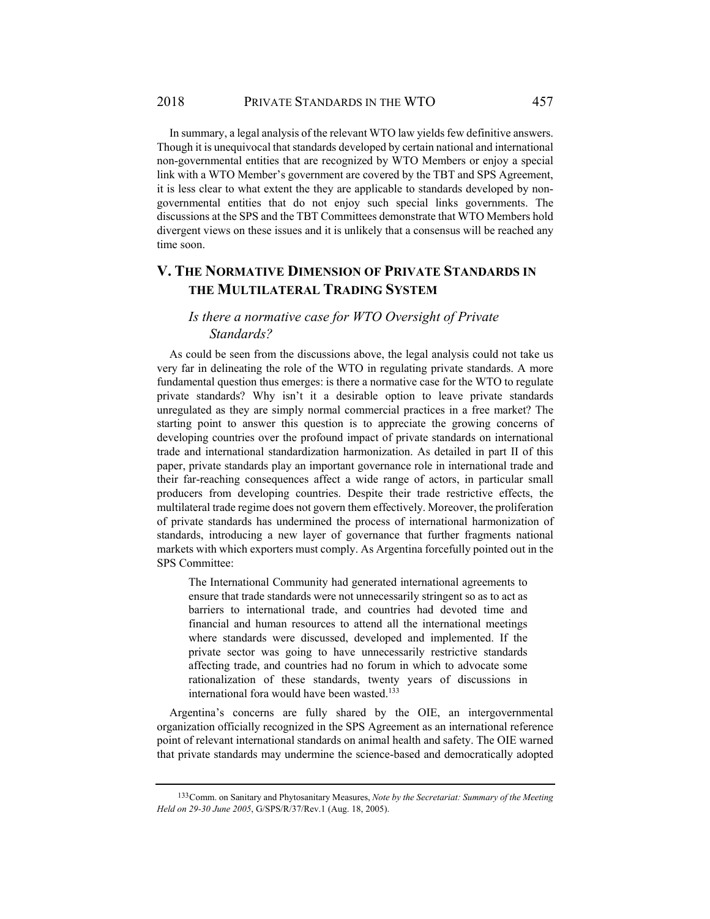In summary, a legal analysis of the relevant WTO law yields few definitive answers. Though it is unequivocal that standards developed by certain national and international non-governmental entities that are recognized by WTO Members or enjoy a special link with a WTO Member's government are covered by the TBT and SPS Agreement, it is less clear to what extent the they are applicable to standards developed by nongovernmental entities that do not enjoy such special links governments. The discussions at the SPS and the TBT Committees demonstrate that WTO Members hold divergent views on these issues and it is unlikely that a consensus will be reached any time soon.

# **V. THE NORMATIVE DIMENSION OF PRIVATE STANDARDS IN THE MULTILATERAL TRADING SYSTEM**

# *Is there a normative case for WTO Oversight of Private Standards?*

As could be seen from the discussions above, the legal analysis could not take us very far in delineating the role of the WTO in regulating private standards. A more fundamental question thus emerges: is there a normative case for the WTO to regulate private standards? Why isn't it a desirable option to leave private standards unregulated as they are simply normal commercial practices in a free market? The starting point to answer this question is to appreciate the growing concerns of developing countries over the profound impact of private standards on international trade and international standardization harmonization. As detailed in part II of this paper, private standards play an important governance role in international trade and their far-reaching consequences affect a wide range of actors, in particular small producers from developing countries. Despite their trade restrictive effects, the multilateral trade regime does not govern them effectively. Moreover, the proliferation of private standards has undermined the process of international harmonization of standards, introducing a new layer of governance that further fragments national markets with which exporters must comply. As Argentina forcefully pointed out in the SPS Committee:

The International Community had generated international agreements to ensure that trade standards were not unnecessarily stringent so as to act as barriers to international trade, and countries had devoted time and financial and human resources to attend all the international meetings where standards were discussed, developed and implemented. If the private sector was going to have unnecessarily restrictive standards affecting trade, and countries had no forum in which to advocate some rationalization of these standards, twenty years of discussions in international fora would have been wasted.<sup>133</sup>

Argentina's concerns are fully shared by the OIE, an intergovernmental organization officially recognized in the SPS Agreement as an international reference point of relevant international standards on animal health and safety. The OIE warned that private standards may undermine the science-based and democratically adopted

<sup>133</sup> Comm. on Sanitary and Phytosanitary Measures, *Note by the Secretariat: Summary of the Meeting Held on 29-30 June 2005*, G/SPS/R/37/Rev.1 (Aug. 18, 2005).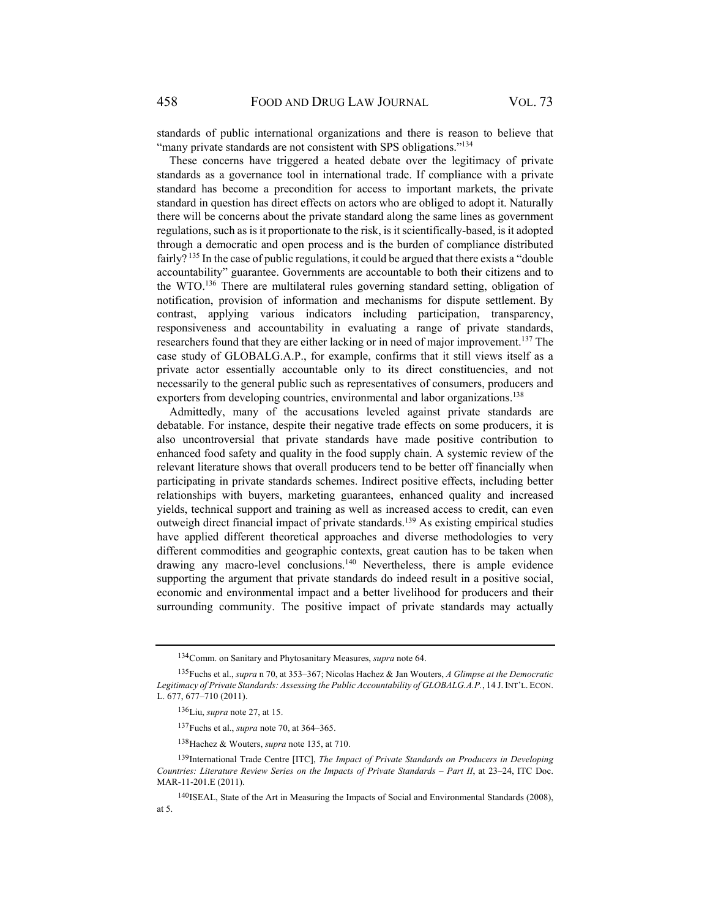standards of public international organizations and there is reason to believe that "many private standards are not consistent with SPS obligations."<sup>134</sup>

These concerns have triggered a heated debate over the legitimacy of private standards as a governance tool in international trade. If compliance with a private standard has become a precondition for access to important markets, the private standard in question has direct effects on actors who are obliged to adopt it. Naturally there will be concerns about the private standard along the same lines as government regulations, such as is it proportionate to the risk, is it scientifically-based, is it adopted through a democratic and open process and is the burden of compliance distributed fairly?<sup>135</sup> In the case of public regulations, it could be argued that there exists a "double" accountability" guarantee. Governments are accountable to both their citizens and to the WTO.136 There are multilateral rules governing standard setting, obligation of notification, provision of information and mechanisms for dispute settlement. By contrast, applying various indicators including participation, transparency, responsiveness and accountability in evaluating a range of private standards, researchers found that they are either lacking or in need of major improvement.<sup>137</sup> The case study of GLOBALG.A.P., for example, confirms that it still views itself as a private actor essentially accountable only to its direct constituencies, and not necessarily to the general public such as representatives of consumers, producers and exporters from developing countries, environmental and labor organizations.<sup>138</sup>

Admittedly, many of the accusations leveled against private standards are debatable. For instance, despite their negative trade effects on some producers, it is also uncontroversial that private standards have made positive contribution to enhanced food safety and quality in the food supply chain. A systemic review of the relevant literature shows that overall producers tend to be better off financially when participating in private standards schemes. Indirect positive effects, including better relationships with buyers, marketing guarantees, enhanced quality and increased yields, technical support and training as well as increased access to credit, can even outweigh direct financial impact of private standards.<sup>139</sup> As existing empirical studies have applied different theoretical approaches and diverse methodologies to very different commodities and geographic contexts, great caution has to be taken when drawing any macro-level conclusions.<sup>140</sup> Nevertheless, there is ample evidence supporting the argument that private standards do indeed result in a positive social, economic and environmental impact and a better livelihood for producers and their surrounding community. The positive impact of private standards may actually

<sup>134</sup> Comm. on Sanitary and Phytosanitary Measures, *supra* note 64.

<sup>135</sup> Fuchs et al., *supra* n 70, at 353–367; Nicolas Hachez & Jan Wouters, *A Glimpse at the Democratic Legitimacy of Private Standards: Assessing the Public Accountability of GLOBALG.A.P.*, 14 J.INT'L. ECON. L. 677, 677–710 (2011).

<sup>136</sup> Liu, *supra* note 27, at 15.

<sup>137</sup> Fuchs et al., *supra* note 70, at 364–365.

<sup>138</sup> Hachez & Wouters, *supra* note 135, at 710.

<sup>139</sup> International Trade Centre [ITC], *The Impact of Private Standards on Producers in Developing Countries: Literature Review Series on the Impacts of Private Standards – Part II*, at 23–24, ITC Doc. MAR-11-201.E (2011).

<sup>140</sup> ISEAL, State of the Art in Measuring the Impacts of Social and Environmental Standards (2008), at 5.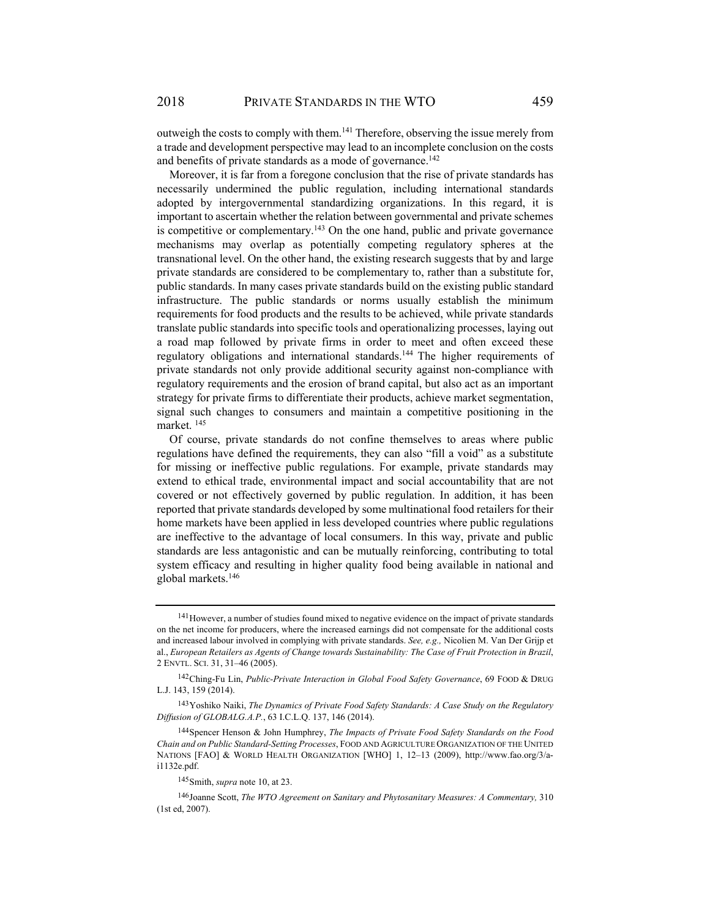outweigh the costs to comply with them.141 Therefore, observing the issue merely from a trade and development perspective may lead to an incomplete conclusion on the costs and benefits of private standards as a mode of governance.<sup>142</sup>

Moreover, it is far from a foregone conclusion that the rise of private standards has necessarily undermined the public regulation, including international standards adopted by intergovernmental standardizing organizations. In this regard, it is important to ascertain whether the relation between governmental and private schemes is competitive or complementary.<sup>143</sup> On the one hand, public and private governance mechanisms may overlap as potentially competing regulatory spheres at the transnational level. On the other hand, the existing research suggests that by and large private standards are considered to be complementary to, rather than a substitute for, public standards. In many cases private standards build on the existing public standard infrastructure. The public standards or norms usually establish the minimum requirements for food products and the results to be achieved, while private standards translate public standards into specific tools and operationalizing processes, laying out a road map followed by private firms in order to meet and often exceed these regulatory obligations and international standards.<sup>144</sup> The higher requirements of private standards not only provide additional security against non-compliance with regulatory requirements and the erosion of brand capital, but also act as an important strategy for private firms to differentiate their products, achieve market segmentation, signal such changes to consumers and maintain a competitive positioning in the market. 145

Of course, private standards do not confine themselves to areas where public regulations have defined the requirements, they can also "fill a void" as a substitute for missing or ineffective public regulations. For example, private standards may extend to ethical trade, environmental impact and social accountability that are not covered or not effectively governed by public regulation. In addition, it has been reported that private standards developed by some multinational food retailers for their home markets have been applied in less developed countries where public regulations are ineffective to the advantage of local consumers. In this way, private and public standards are less antagonistic and can be mutually reinforcing, contributing to total system efficacy and resulting in higher quality food being available in national and global markets.146

<sup>141</sup> However, a number of studies found mixed to negative evidence on the impact of private standards on the net income for producers, where the increased earnings did not compensate for the additional costs and increased labour involved in complying with private standards. *See, e.g.,* Nicolien M. Van Der Grijp et al., *European Retailers as Agents of Change towards Sustainability: The Case of Fruit Protection in Brazil*, 2 ENVTL. SCI. 31, 31–46 (2005).

<sup>&</sup>lt;sup>142</sup> Ching-Fu Lin, *Public-Private Interaction in Global Food Safety Governance*, 69 FOOD & DRUG L.J. 143, 159 (2014).

<sup>143</sup> Yoshiko Naiki, *The Dynamics of Private Food Safety Standards: A Case Study on the Regulatory Diffusion of GLOBALG.A.P.*, 63 I.C.L.Q. 137, 146 (2014).

<sup>144</sup> Spencer Henson & John Humphrey, *The Impacts of Private Food Safety Standards on the Food Chain and on Public Standard-Setting Processes*, FOOD AND AGRICULTURE ORGANIZATION OF THE UNITED NATIONS [FAO] & WORLD HEALTH ORGANIZATION [WHO] 1, 12–13 (2009), http://www.fao.org/3/ai1132e.pdf.

<sup>145</sup> Smith, *supra* note 10, at 23.

<sup>146</sup> Joanne Scott, *The WTO Agreement on Sanitary and Phytosanitary Measures: A Commentary,* 310 (1st ed, 2007).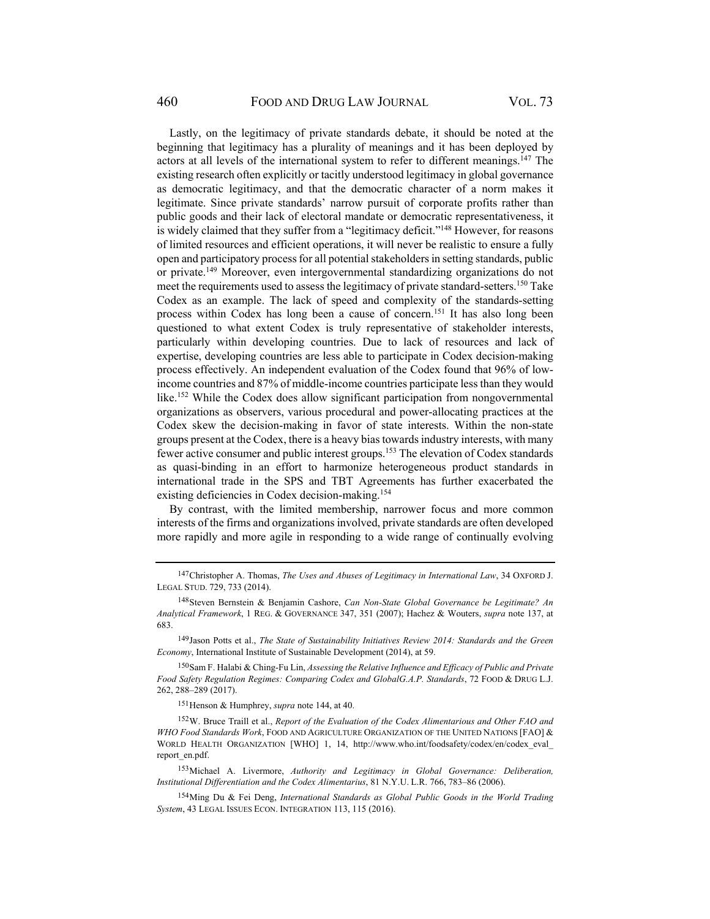Lastly, on the legitimacy of private standards debate, it should be noted at the beginning that legitimacy has a plurality of meanings and it has been deployed by actors at all levels of the international system to refer to different meanings.<sup>147</sup> The existing research often explicitly or tacitly understood legitimacy in global governance as democratic legitimacy, and that the democratic character of a norm makes it legitimate. Since private standards' narrow pursuit of corporate profits rather than public goods and their lack of electoral mandate or democratic representativeness, it is widely claimed that they suffer from a "legitimacy deficit."<sup>148</sup> However, for reasons of limited resources and efficient operations, it will never be realistic to ensure a fully open and participatory process for all potential stakeholders in setting standards, public or private.149 Moreover, even intergovernmental standardizing organizations do not meet the requirements used to assess the legitimacy of private standard-setters.<sup>150</sup> Take Codex as an example. The lack of speed and complexity of the standards-setting process within Codex has long been a cause of concern.151 It has also long been questioned to what extent Codex is truly representative of stakeholder interests, particularly within developing countries. Due to lack of resources and lack of expertise, developing countries are less able to participate in Codex decision-making process effectively. An independent evaluation of the Codex found that 96% of lowincome countries and 87% of middle-income countries participate less than they would like.<sup>152</sup> While the Codex does allow significant participation from nongovernmental organizations as observers, various procedural and power-allocating practices at the Codex skew the decision-making in favor of state interests. Within the non-state groups present at the Codex, there is a heavy bias towards industry interests, with many fewer active consumer and public interest groups.<sup>153</sup> The elevation of Codex standards as quasi-binding in an effort to harmonize heterogeneous product standards in international trade in the SPS and TBT Agreements has further exacerbated the existing deficiencies in Codex decision-making.154

By contrast, with the limited membership, narrower focus and more common interests of the firms and organizations involved, private standards are often developed more rapidly and more agile in responding to a wide range of continually evolving

149 Jason Potts et al., *The State of Sustainability Initiatives Review 2014: Standards and the Green Economy*, International Institute of Sustainable Development (2014), at 59.

150 Sam F. Halabi & Ching-Fu Lin, *Assessing the Relative Influence and Efficacy of Public and Private Food Safety Regulation Regimes: Comparing Codex and GlobalG.A.P. Standards*, 72 FOOD & DRUG L.J. 262, 288–289 (2017).

151 Henson & Humphrey, *supra* note 144, at 40.

152 W. Bruce Traill et al., *Report of the Evaluation of the Codex Alimentarious and Other FAO and WHO Food Standards Work*, FOOD AND AGRICULTURE ORGANIZATION OF THE UNITED NATIONS [FAO] & WORLD HEALTH ORGANIZATION [WHO] 1, 14, http://www.who.int/foodsafety/codex/en/codex\_eval\_ report\_en.pdf.

153 Michael A. Livermore, *Authority and Legitimacy in Global Governance: Deliberation, Institutional Differentiation and the Codex Alimentarius*, 81 N.Y.U. L.R. 766, 783–86 (2006).

154 Ming Du & Fei Deng, *International Standards as Global Public Goods in the World Trading System*, 43 LEGAL ISSUES ECON. INTEGRATION 113, 115 (2016).

<sup>147</sup> Christopher A. Thomas, *The Uses and Abuses of Legitimacy in International Law*, 34 OXFORD J. LEGAL STUD. 729, 733 (2014).

<sup>148</sup> Steven Bernstein & Benjamin Cashore, *Can Non-State Global Governance be Legitimate? An Analytical Framework*, 1 REG. & GOVERNANCE 347, 351 (2007); Hachez & Wouters, *supra* note 137, at 683.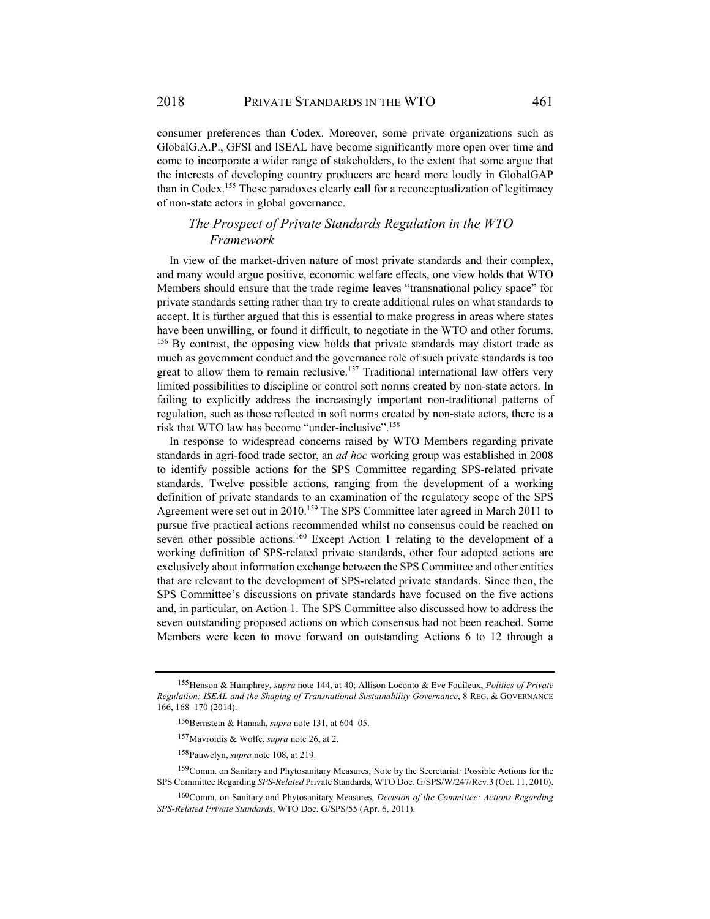consumer preferences than Codex. Moreover, some private organizations such as GlobalG.A.P., GFSI and ISEAL have become significantly more open over time and come to incorporate a wider range of stakeholders, to the extent that some argue that the interests of developing country producers are heard more loudly in GlobalGAP than in Codex.155 These paradoxes clearly call for a reconceptualization of legitimacy of non-state actors in global governance.

# *The Prospect of Private Standards Regulation in the WTO Framework*

In view of the market-driven nature of most private standards and their complex, and many would argue positive, economic welfare effects, one view holds that WTO Members should ensure that the trade regime leaves "transnational policy space" for private standards setting rather than try to create additional rules on what standards to accept. It is further argued that this is essential to make progress in areas where states have been unwilling, or found it difficult, to negotiate in the WTO and other forums. <sup>156</sup> By contrast, the opposing view holds that private standards may distort trade as much as government conduct and the governance role of such private standards is too great to allow them to remain reclusive.<sup>157</sup> Traditional international law offers very limited possibilities to discipline or control soft norms created by non-state actors. In failing to explicitly address the increasingly important non-traditional patterns of regulation, such as those reflected in soft norms created by non-state actors, there is a risk that WTO law has become "under-inclusive".158

In response to widespread concerns raised by WTO Members regarding private standards in agri-food trade sector, an *ad hoc* working group was established in 2008 to identify possible actions for the SPS Committee regarding SPS-related private standards. Twelve possible actions, ranging from the development of a working definition of private standards to an examination of the regulatory scope of the SPS Agreement were set out in 2010.159 The SPS Committee later agreed in March 2011 to pursue five practical actions recommended whilst no consensus could be reached on seven other possible actions.<sup>160</sup> Except Action 1 relating to the development of a working definition of SPS-related private standards, other four adopted actions are exclusively about information exchange between the SPS Committee and other entities that are relevant to the development of SPS-related private standards. Since then, the SPS Committee's discussions on private standards have focused on the five actions and, in particular, on Action 1. The SPS Committee also discussed how to address the seven outstanding proposed actions on which consensus had not been reached. Some Members were keen to move forward on outstanding Actions 6 to 12 through a

<sup>155</sup> Henson & Humphrey, *supra* note 144, at 40; Allison Loconto & Eve Fouileux, *Politics of Private Regulation: ISEAL and the Shaping of Transnational Sustainability Governance*, 8 REG. & GOVERNANCE 166, 168–170 (2014).

<sup>156</sup> Bernstein & Hannah, *supra* note 131, at 604–05.

<sup>157</sup> Mavroidis & Wolfe, *supra* note 26, at 2.

<sup>158</sup> Pauwelyn, *supra* note 108, at 219.

<sup>159</sup> Comm. on Sanitary and Phytosanitary Measures, Note by the Secretariat*:* Possible Actions for the SPS Committee Regarding *SPS-Related* Private Standards, WTO Doc. G/SPS/W/247/Rev.3 (Oct. 11, 2010).

<sup>160</sup> Comm. on Sanitary and Phytosanitary Measures, *Decision of the Committee: Actions Regarding SPS-Related Private Standards*, WTO Doc. G/SPS/55 (Apr. 6, 2011).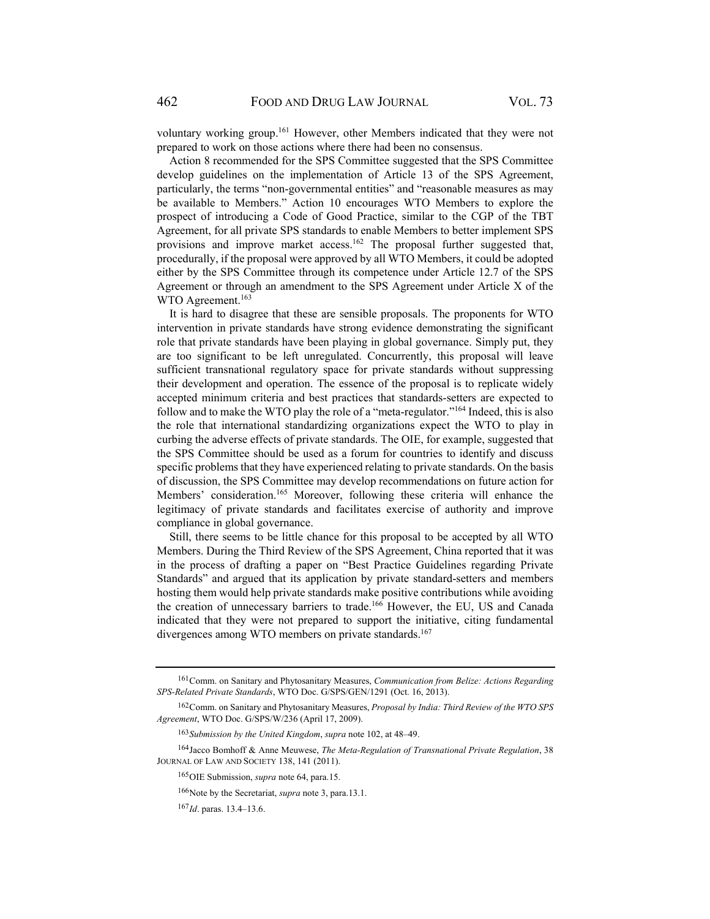voluntary working group.161 However, other Members indicated that they were not prepared to work on those actions where there had been no consensus.

Action 8 recommended for the SPS Committee suggested that the SPS Committee develop guidelines on the implementation of Article 13 of the SPS Agreement, particularly, the terms "non-governmental entities" and "reasonable measures as may be available to Members." Action 10 encourages WTO Members to explore the prospect of introducing a Code of Good Practice, similar to the CGP of the TBT Agreement, for all private SPS standards to enable Members to better implement SPS provisions and improve market access.<sup>162</sup> The proposal further suggested that, procedurally, if the proposal were approved by all WTO Members, it could be adopted either by the SPS Committee through its competence under Article 12.7 of the SPS Agreement or through an amendment to the SPS Agreement under Article X of the WTO Agreement.<sup>163</sup>

It is hard to disagree that these are sensible proposals. The proponents for WTO intervention in private standards have strong evidence demonstrating the significant role that private standards have been playing in global governance. Simply put, they are too significant to be left unregulated. Concurrently, this proposal will leave sufficient transnational regulatory space for private standards without suppressing their development and operation. The essence of the proposal is to replicate widely accepted minimum criteria and best practices that standards-setters are expected to follow and to make the WTO play the role of a "meta-regulator."164 Indeed, this is also the role that international standardizing organizations expect the WTO to play in curbing the adverse effects of private standards. The OIE, for example, suggested that the SPS Committee should be used as a forum for countries to identify and discuss specific problems that they have experienced relating to private standards. On the basis of discussion, the SPS Committee may develop recommendations on future action for Members' consideration.<sup>165</sup> Moreover, following these criteria will enhance the legitimacy of private standards and facilitates exercise of authority and improve compliance in global governance.

Still, there seems to be little chance for this proposal to be accepted by all WTO Members. During the Third Review of the SPS Agreement, China reported that it was in the process of drafting a paper on "Best Practice Guidelines regarding Private Standards" and argued that its application by private standard-setters and members hosting them would help private standards make positive contributions while avoiding the creation of unnecessary barriers to trade.<sup>166</sup> However, the EU, US and Canada indicated that they were not prepared to support the initiative, citing fundamental divergences among WTO members on private standards.<sup>167</sup>

<sup>161</sup> Comm. on Sanitary and Phytosanitary Measures, *Communication from Belize: Actions Regarding SPS-Related Private Standards*, WTO Doc. G/SPS/GEN/1291 (Oct. 16, 2013).

<sup>162</sup> Comm. on Sanitary and Phytosanitary Measures, *Proposal by India: Third Review of the WTO SPS Agreement*, WTO Doc. G/SPS/W/236 (April 17, 2009).

<sup>163</sup> *Submission by the United Kingdom*, *supra* note 102, at 48–49.

<sup>164</sup> Jacco Bomhoff & Anne Meuwese, *The Meta-Regulation of Transnational Private Regulation*, 38 JOURNAL OF LAW AND SOCIETY 138, 141 (2011).

<sup>165</sup> OIE Submission, *supra* note 64, para.15.

<sup>166</sup> Note by the Secretariat, *supra* note 3, para.13.1.

<sup>167</sup> *Id*. paras. 13.4–13.6.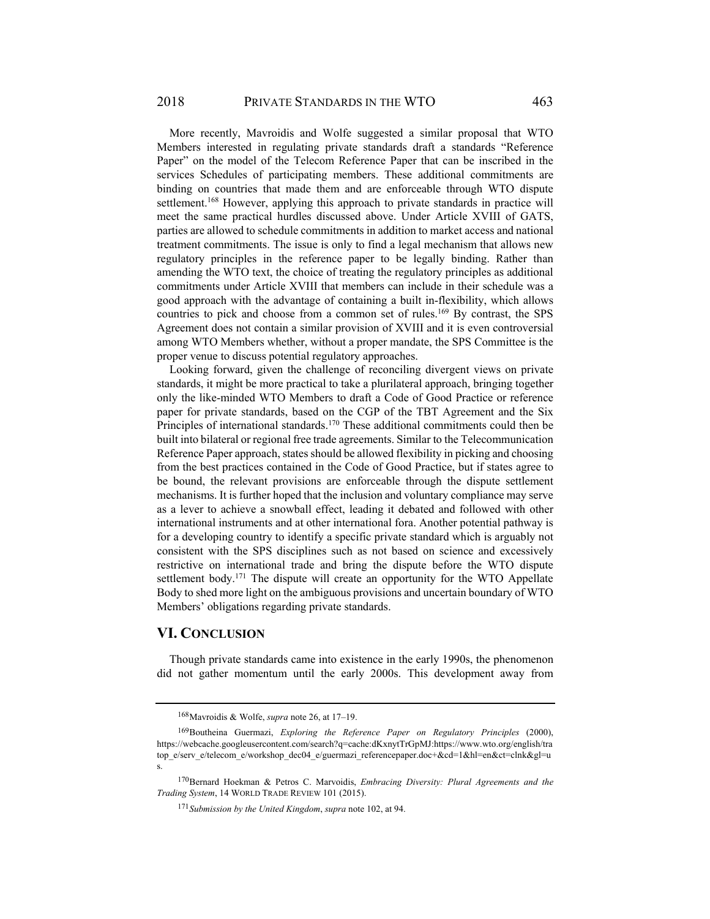More recently, Mavroidis and Wolfe suggested a similar proposal that WTO Members interested in regulating private standards draft a standards "Reference Paper" on the model of the Telecom Reference Paper that can be inscribed in the services Schedules of participating members. These additional commitments are binding on countries that made them and are enforceable through WTO dispute settlement.168 However, applying this approach to private standards in practice will meet the same practical hurdles discussed above. Under Article XVIII of GATS, parties are allowed to schedule commitments in addition to market access and national treatment commitments. The issue is only to find a legal mechanism that allows new regulatory principles in the reference paper to be legally binding. Rather than amending the WTO text, the choice of treating the regulatory principles as additional commitments under Article XVIII that members can include in their schedule was a good approach with the advantage of containing a built in-flexibility, which allows countries to pick and choose from a common set of rules.169 By contrast, the SPS Agreement does not contain a similar provision of XVIII and it is even controversial among WTO Members whether, without a proper mandate, the SPS Committee is the proper venue to discuss potential regulatory approaches.

Looking forward, given the challenge of reconciling divergent views on private standards, it might be more practical to take a plurilateral approach, bringing together only the like-minded WTO Members to draft a Code of Good Practice or reference paper for private standards, based on the CGP of the TBT Agreement and the Six Principles of international standards.<sup>170</sup> These additional commitments could then be built into bilateral or regional free trade agreements. Similar to the Telecommunication Reference Paper approach, states should be allowed flexibility in picking and choosing from the best practices contained in the Code of Good Practice, but if states agree to be bound, the relevant provisions are enforceable through the dispute settlement mechanisms. It is further hoped that the inclusion and voluntary compliance may serve as a lever to achieve a snowball effect, leading it debated and followed with other international instruments and at other international fora. Another potential pathway is for a developing country to identify a specific private standard which is arguably not consistent with the SPS disciplines such as not based on science and excessively restrictive on international trade and bring the dispute before the WTO dispute settlement body.<sup>171</sup> The dispute will create an opportunity for the WTO Appellate Body to shed more light on the ambiguous provisions and uncertain boundary of WTO Members' obligations regarding private standards.

#### **VI. CONCLUSION**

Though private standards came into existence in the early 1990s, the phenomenon did not gather momentum until the early 2000s. This development away from

<sup>168</sup> Mavroidis & Wolfe, *supra* note 26, at 17–19.

<sup>169</sup> Boutheina Guermazi, *Exploring the Reference Paper on Regulatory Principles* (2000), https://webcache.googleusercontent.com/search?q=cache:dKxnytTrGpMJ:https://www.wto.org/english/tra top\_e/serv\_e/telecom\_e/workshop\_dec04\_e/guermazi\_referencepaper.doc+&cd=1&hl=en&ct=clnk&gl=u s.

<sup>170</sup> Bernard Hoekman & Petros C. Marvoidis, *Embracing Diversity: Plural Agreements and the Trading System*, 14 WORLD TRADE REVIEW 101 (2015).

<sup>171</sup> *Submission by the United Kingdom*, *supra* note 102, at 94.